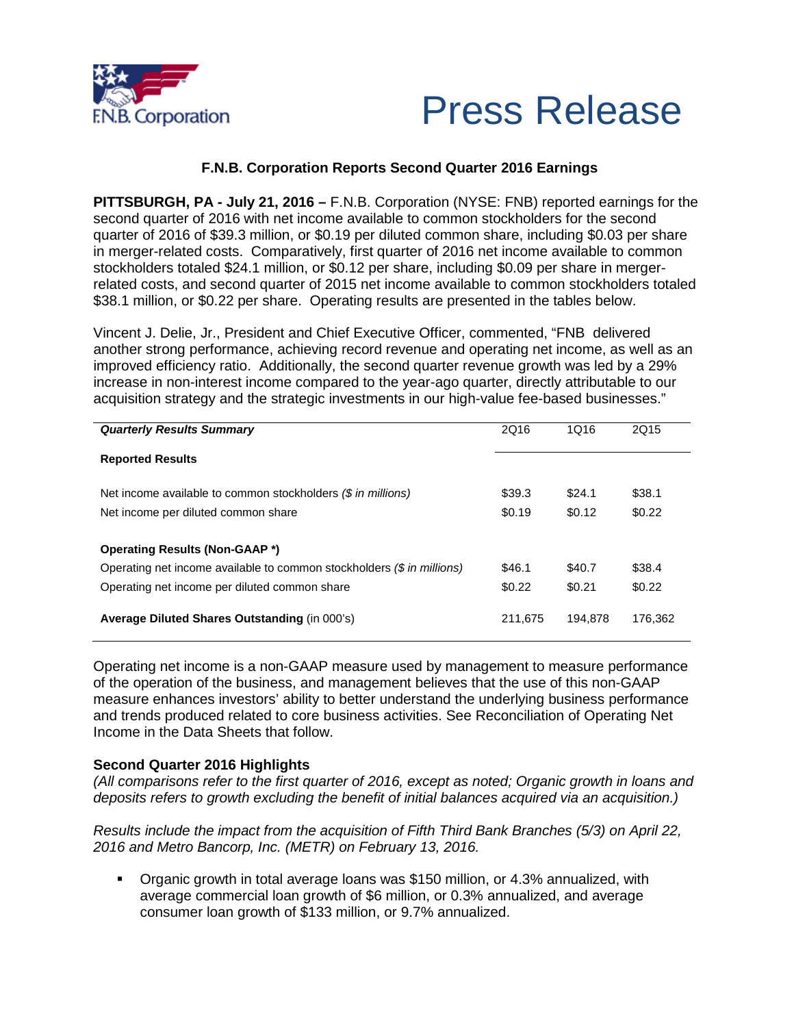



# **F.N.B. Corporation Reports Second Quarter 2016 Earnings**

**PITTSBURGH, PA - July 21, 2016 –** F.N.B. Corporation (NYSE: FNB) reported earnings for the second quarter of 2016 with net income available to common stockholders for the second quarter of 2016 of \$39.3 million, or \$0.19 per diluted common share, including \$0.03 per share in merger-related costs. Comparatively, first quarter of 2016 net income available to common stockholders totaled \$24.1 million, or \$0.12 per share, including \$0.09 per share in mergerrelated costs, and second quarter of 2015 net income available to common stockholders totaled \$38.1 million, or \$0.22 per share. Operating results are presented in the tables below.

Vincent J. Delie, Jr., President and Chief Executive Officer, commented, "FNB delivered another strong performance, achieving record revenue and operating net income, as well as an improved efficiency ratio. Additionally, the second quarter revenue growth was led by a 29% increase in non-interest income compared to the year-ago quarter, directly attributable to our acquisition strategy and the strategic investments in our high-value fee-based businesses."

| <b>Quarterly Results Summary</b>                                       | <b>2Q16</b> | 1016    | 2Q15    |
|------------------------------------------------------------------------|-------------|---------|---------|
| <b>Reported Results</b>                                                |             |         |         |
| Net income available to common stockholders (\$ in millions)           | \$39.3      | \$24.1  | \$38.1  |
| Net income per diluted common share                                    | \$0.19      | \$0.12  | \$0.22  |
| <b>Operating Results (Non-GAAP *)</b>                                  |             |         |         |
| Operating net income available to common stockholders (\$ in millions) | \$46.1      | \$40.7  | \$38.4  |
| Operating net income per diluted common share                          | \$0.22      | \$0.21  | \$0.22  |
| Average Diluted Shares Outstanding (in 000's)                          | 211.675     | 194.878 | 176.362 |

Operating net income is a non-GAAP measure used by management to measure performance of the operation of the business, and management believes that the use of this non-GAAP measure enhances investors' ability to better understand the underlying business performance and trends produced related to core business activities. See Reconciliation of Operating Net Income in the Data Sheets that follow.

## **Second Quarter 2016 Highlights**

*(All comparisons refer to the first quarter of 2016, except as noted; Organic growth in loans and deposits refers to growth excluding the benefit of initial balances acquired via an acquisition.)*

*Results include the impact from the acquisition of Fifth Third Bank Branches (5/3) on April 22, 2016 and Metro Bancorp, Inc. (METR) on February 13, 2016.*

 Organic growth in total average loans was \$150 million, or 4.3% annualized, with average commercial loan growth of \$6 million, or 0.3% annualized, and average consumer loan growth of \$133 million, or 9.7% annualized.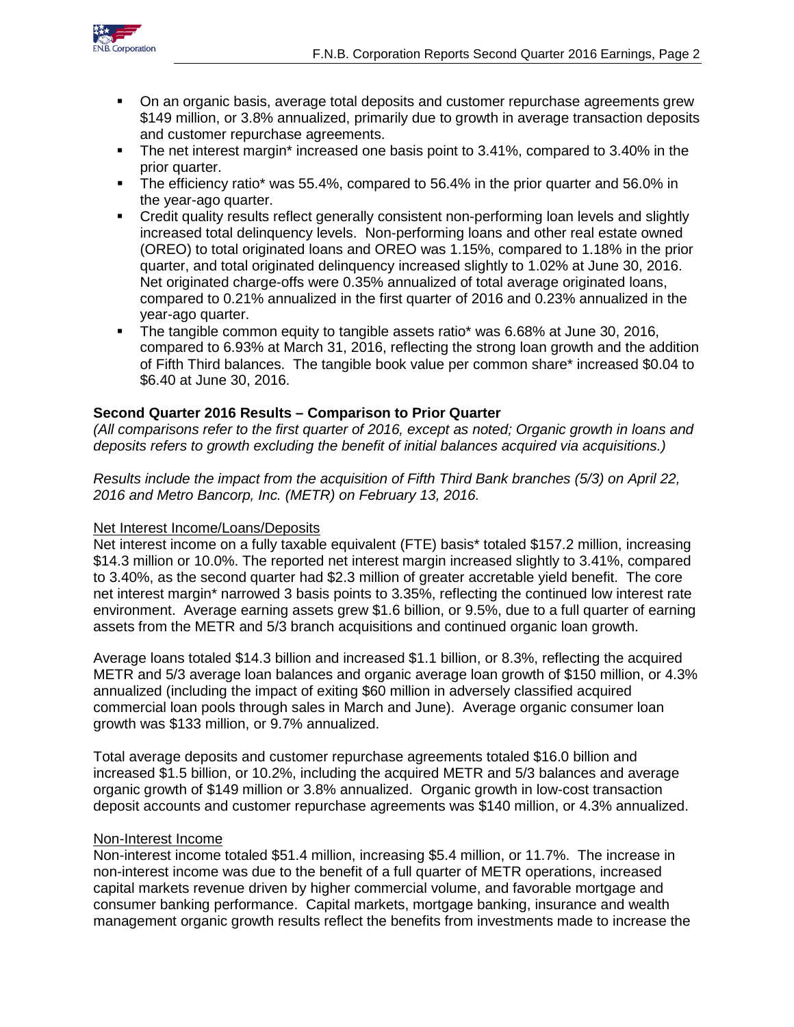



- On an organic basis, average total deposits and customer repurchase agreements grew \$149 million, or 3.8% annualized, primarily due to growth in average transaction deposits and customer repurchase agreements.
- The net interest margin\* increased one basis point to 3.41%, compared to 3.40% in the prior quarter.
- The efficiency ratio\* was 55.4%, compared to 56.4% in the prior quarter and 56.0% in the year-ago quarter.
- Credit quality results reflect generally consistent non-performing loan levels and slightly increased total delinquency levels. Non-performing loans and other real estate owned (OREO) to total originated loans and OREO was 1.15%, compared to 1.18% in the prior quarter, and total originated delinquency increased slightly to 1.02% at June 30, 2016. Net originated charge-offs were 0.35% annualized of total average originated loans, compared to 0.21% annualized in the first quarter of 2016 and 0.23% annualized in the year-ago quarter.
- The tangible common equity to tangible assets ratio\* was 6.68% at June 30, 2016, compared to 6.93% at March 31, 2016, reflecting the strong loan growth and the addition of Fifth Third balances. The tangible book value per common share\* increased \$0.04 to \$6.40 at June 30, 2016.

# **Second Quarter 2016 Results – Comparison to Prior Quarter**

*(All comparisons refer to the first quarter of 2016, except as noted; Organic growth in loans and deposits refers to growth excluding the benefit of initial balances acquired via acquisitions.)*

*Results include the impact from the acquisition of Fifth Third Bank branches (5/3) on April 22, 2016 and Metro Bancorp, Inc. (METR) on February 13, 2016.*

# Net Interest Income/Loans/Deposits

Net interest income on a fully taxable equivalent (FTE) basis\* totaled \$157.2 million, increasing \$14.3 million or 10.0%. The reported net interest margin increased slightly to 3.41%, compared to 3.40%, as the second quarter had \$2.3 million of greater accretable yield benefit. The core net interest margin\* narrowed 3 basis points to 3.35%, reflecting the continued low interest rate environment. Average earning assets grew \$1.6 billion, or 9.5%, due to a full quarter of earning assets from the METR and 5/3 branch acquisitions and continued organic loan growth.

Average loans totaled \$14.3 billion and increased \$1.1 billion, or 8.3%, reflecting the acquired METR and 5/3 average loan balances and organic average loan growth of \$150 million, or 4.3% annualized (including the impact of exiting \$60 million in adversely classified acquired commercial loan pools through sales in March and June). Average organic consumer loan growth was \$133 million, or 9.7% annualized.

Total average deposits and customer repurchase agreements totaled \$16.0 billion and increased \$1.5 billion, or 10.2%, including the acquired METR and 5/3 balances and average organic growth of \$149 million or 3.8% annualized. Organic growth in low-cost transaction deposit accounts and customer repurchase agreements was \$140 million, or 4.3% annualized.

## Non-Interest Income

Non-interest income totaled \$51.4 million, increasing \$5.4 million, or 11.7%. The increase in non-interest income was due to the benefit of a full quarter of METR operations, increased capital markets revenue driven by higher commercial volume, and favorable mortgage and consumer banking performance. Capital markets, mortgage banking, insurance and wealth management organic growth results reflect the benefits from investments made to increase the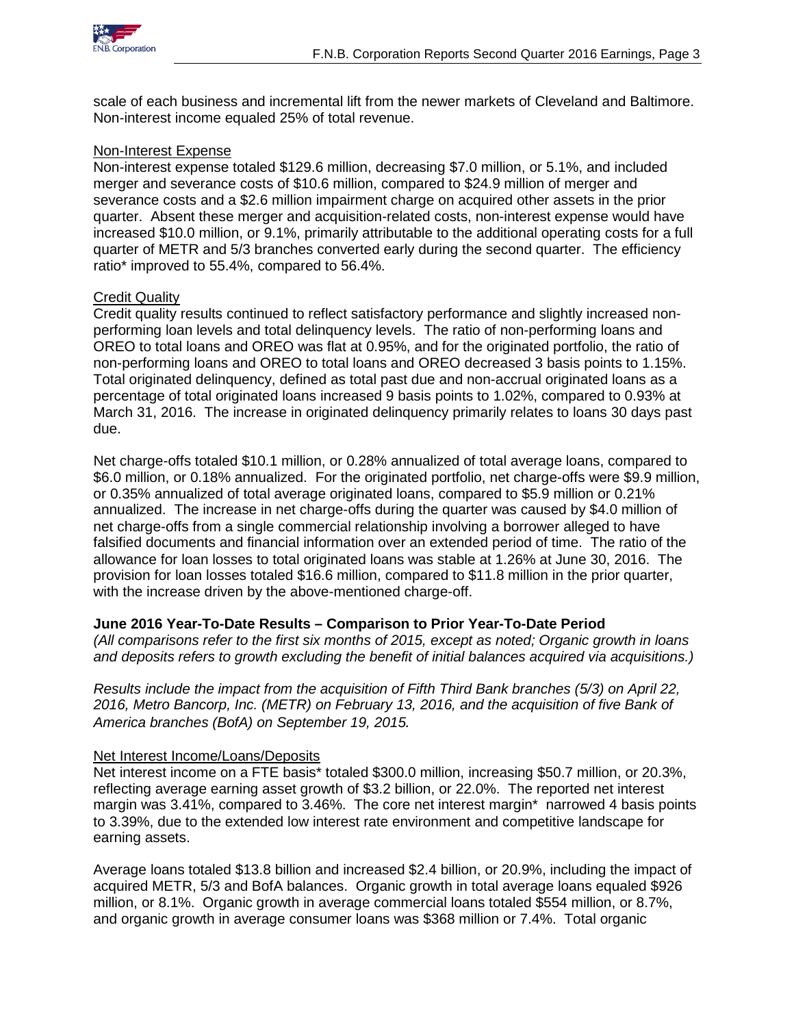

scale of each business and incremental lift from the newer markets of Cleveland and Baltimore. Non-interest income equaled 25% of total revenue.

## Non-Interest Expense

Non-interest expense totaled \$129.6 million, decreasing \$7.0 million, or 5.1%, and included merger and severance costs of \$10.6 million, compared to \$24.9 million of merger and severance costs and a \$2.6 million impairment charge on acquired other assets in the prior quarter. Absent these merger and acquisition-related costs, non-interest expense would have increased \$10.0 million, or 9.1%, primarily attributable to the additional operating costs for a full quarter of METR and 5/3 branches converted early during the second quarter. The efficiency ratio\* improved to 55.4%, compared to 56.4%.

# Credit Quality

Credit quality results continued to reflect satisfactory performance and slightly increased nonperforming loan levels and total delinquency levels. The ratio of non-performing loans and OREO to total loans and OREO was flat at 0.95%, and for the originated portfolio, the ratio of non-performing loans and OREO to total loans and OREO decreased 3 basis points to 1.15%. Total originated delinquency, defined as total past due and non-accrual originated loans as a percentage of total originated loans increased 9 basis points to 1.02%, compared to 0.93% at March 31, 2016. The increase in originated delinquency primarily relates to loans 30 days past due.

Net charge-offs totaled \$10.1 million, or 0.28% annualized of total average loans, compared to \$6.0 million, or 0.18% annualized. For the originated portfolio, net charge-offs were \$9.9 million, or 0.35% annualized of total average originated loans, compared to \$5.9 million or 0.21% annualized. The increase in net charge-offs during the quarter was caused by \$4.0 million of net charge-offs from a single commercial relationship involving a borrower alleged to have falsified documents and financial information over an extended period of time. The ratio of the allowance for loan losses to total originated loans was stable at 1.26% at June 30, 2016. The provision for loan losses totaled \$16.6 million, compared to \$11.8 million in the prior quarter, with the increase driven by the above-mentioned charge-off.

# **June 2016 Year-To-Date Results – Comparison to Prior Year-To-Date Period**

*(All comparisons refer to the first six months of 2015, except as noted; Organic growth in loans and deposits refers to growth excluding the benefit of initial balances acquired via acquisitions.)*

*Results include the impact from the acquisition of Fifth Third Bank branches (5/3) on April 22, 2016, Metro Bancorp, Inc. (METR) on February 13, 2016, and the acquisition of five Bank of America branches (BofA) on September 19, 2015.*

# Net Interest Income/Loans/Deposits

Net interest income on a FTE basis\* totaled \$300.0 million, increasing \$50.7 million, or 20.3%, reflecting average earning asset growth of \$3.2 billion, or 22.0%. The reported net interest margin was 3.41%, compared to 3.46%. The core net interest margin\* narrowed 4 basis points to 3.39%, due to the extended low interest rate environment and competitive landscape for earning assets.

Average loans totaled \$13.8 billion and increased \$2.4 billion, or 20.9%, including the impact of acquired METR, 5/3 and BofA balances. Organic growth in total average loans equaled \$926 million, or 8.1%. Organic growth in average commercial loans totaled \$554 million, or 8.7%, and organic growth in average consumer loans was \$368 million or 7.4%. Total organic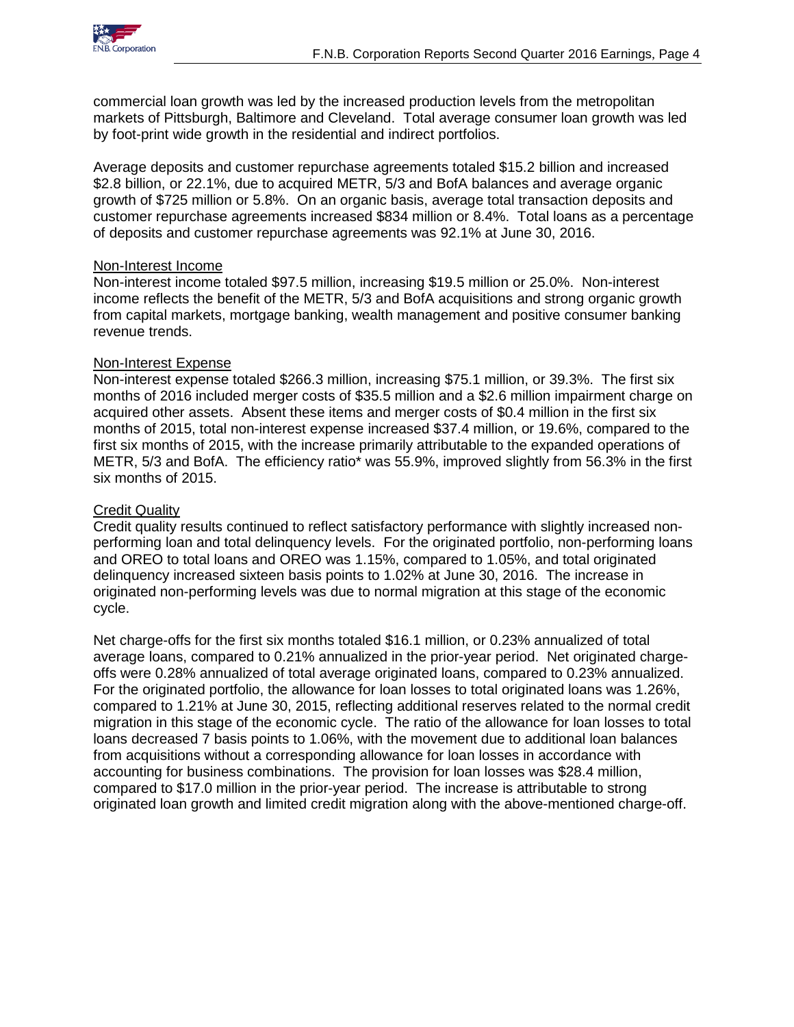

commercial loan growth was led by the increased production levels from the metropolitan markets of Pittsburgh, Baltimore and Cleveland. Total average consumer loan growth was led by foot-print wide growth in the residential and indirect portfolios.

Average deposits and customer repurchase agreements totaled \$15.2 billion and increased \$2.8 billion, or 22.1%, due to acquired METR, 5/3 and BofA balances and average organic growth of \$725 million or 5.8%. On an organic basis, average total transaction deposits and customer repurchase agreements increased \$834 million or 8.4%. Total loans as a percentage of deposits and customer repurchase agreements was 92.1% at June 30, 2016.

## Non-Interest Income

Non-interest income totaled \$97.5 million, increasing \$19.5 million or 25.0%. Non-interest income reflects the benefit of the METR, 5/3 and BofA acquisitions and strong organic growth from capital markets, mortgage banking, wealth management and positive consumer banking revenue trends.

# Non-Interest Expense

Non-interest expense totaled \$266.3 million, increasing \$75.1 million, or 39.3%. The first six months of 2016 included merger costs of \$35.5 million and a \$2.6 million impairment charge on acquired other assets. Absent these items and merger costs of \$0.4 million in the first six months of 2015, total non-interest expense increased \$37.4 million, or 19.6%, compared to the first six months of 2015, with the increase primarily attributable to the expanded operations of METR, 5/3 and BofA. The efficiency ratio\* was 55.9%, improved slightly from 56.3% in the first six months of 2015.

# Credit Quality

Credit quality results continued to reflect satisfactory performance with slightly increased nonperforming loan and total delinquency levels. For the originated portfolio, non-performing loans and OREO to total loans and OREO was 1.15%, compared to 1.05%, and total originated delinquency increased sixteen basis points to 1.02% at June 30, 2016. The increase in originated non-performing levels was due to normal migration at this stage of the economic cycle.

Net charge-offs for the first six months totaled \$16.1 million, or 0.23% annualized of total average loans, compared to 0.21% annualized in the prior-year period. Net originated chargeoffs were 0.28% annualized of total average originated loans, compared to 0.23% annualized. For the originated portfolio, the allowance for loan losses to total originated loans was 1.26%, compared to 1.21% at June 30, 2015, reflecting additional reserves related to the normal credit migration in this stage of the economic cycle. The ratio of the allowance for loan losses to total loans decreased 7 basis points to 1.06%, with the movement due to additional loan balances from acquisitions without a corresponding allowance for loan losses in accordance with accounting for business combinations. The provision for loan losses was \$28.4 million, compared to \$17.0 million in the prior-year period. The increase is attributable to strong originated loan growth and limited credit migration along with the above-mentioned charge-off.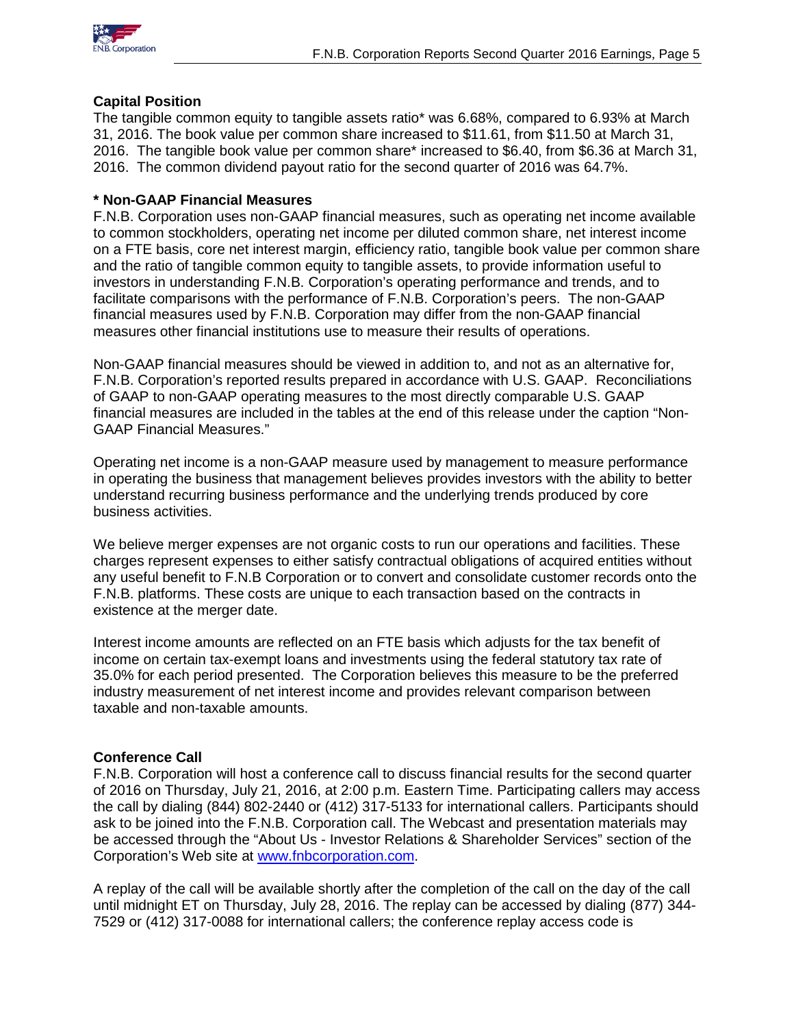

# **Capital Position**

The tangible common equity to tangible assets ratio\* was 6.68%, compared to 6.93% at March 31, 2016. The book value per common share increased to \$11.61, from \$11.50 at March 31, 2016. The tangible book value per common share\* increased to \$6.40, from \$6.36 at March 31, 2016. The common dividend payout ratio for the second quarter of 2016 was 64.7%.

# **\* Non-GAAP Financial Measures**

F.N.B. Corporation uses non-GAAP financial measures, such as operating net income available to common stockholders, operating net income per diluted common share, net interest income on a FTE basis, core net interest margin, efficiency ratio, tangible book value per common share and the ratio of tangible common equity to tangible assets, to provide information useful to investors in understanding F.N.B. Corporation's operating performance and trends, and to facilitate comparisons with the performance of F.N.B. Corporation's peers. The non-GAAP financial measures used by F.N.B. Corporation may differ from the non-GAAP financial measures other financial institutions use to measure their results of operations.

Non-GAAP financial measures should be viewed in addition to, and not as an alternative for, F.N.B. Corporation's reported results prepared in accordance with U.S. GAAP. Reconciliations of GAAP to non-GAAP operating measures to the most directly comparable U.S. GAAP financial measures are included in the tables at the end of this release under the caption "Non-GAAP Financial Measures."

Operating net income is a non-GAAP measure used by management to measure performance in operating the business that management believes provides investors with the ability to better understand recurring business performance and the underlying trends produced by core business activities.

We believe merger expenses are not organic costs to run our operations and facilities. These charges represent expenses to either satisfy contractual obligations of acquired entities without any useful benefit to F.N.B Corporation or to convert and consolidate customer records onto the F.N.B. platforms. These costs are unique to each transaction based on the contracts in existence at the merger date.

Interest income amounts are reflected on an FTE basis which adjusts for the tax benefit of income on certain tax-exempt loans and investments using the federal statutory tax rate of 35.0% for each period presented. The Corporation believes this measure to be the preferred industry measurement of net interest income and provides relevant comparison between taxable and non-taxable amounts.

# **Conference Call**

F.N.B. Corporation will host a conference call to discuss financial results for the second quarter of 2016 on Thursday, July 21, 2016, at 2:00 p.m. Eastern Time. Participating callers may access the call by dialing (844) 802-2440 or (412) 317-5133 for international callers. Participants should ask to be joined into the F.N.B. Corporation call. The Webcast and presentation materials may be accessed through the "About Us - Investor Relations & Shareholder Services" section of the Corporation's Web site at [www.fnbcorporation.com.](http://www.fnbcorporation.com/)

A replay of the call will be available shortly after the completion of the call on the day of the call until midnight ET on Thursday, July 28, 2016. The replay can be accessed by dialing (877) 344- 7529 or (412) 317-0088 for international callers; the conference replay access code is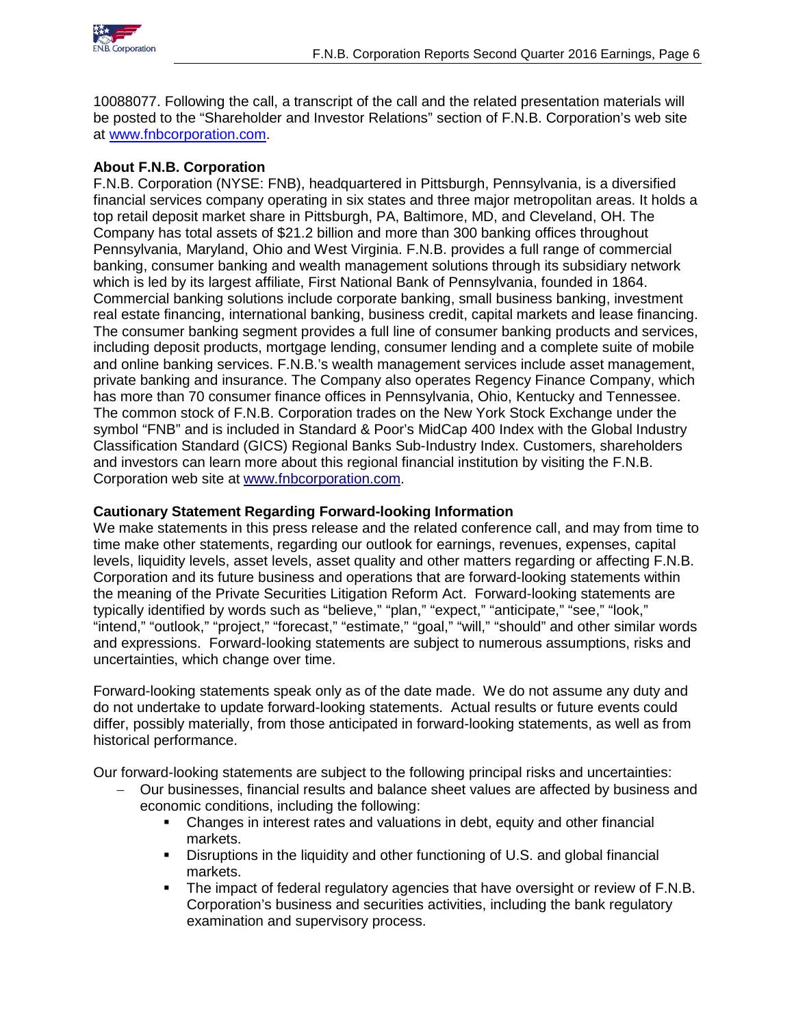

10088077. Following the call, a transcript of the call and the related presentation materials will be posted to the "Shareholder and Investor Relations" section of F.N.B. Corporation's web site at [www.fnbcorporation.com.](http://www.fnbcorporation.com/)

# **About F.N.B. Corporation**

F.N.B. Corporation (NYSE: FNB), headquartered in Pittsburgh, Pennsylvania, is a diversified financial services company operating in six states and three major metropolitan areas. It holds a top retail deposit market share in Pittsburgh, PA, Baltimore, MD, and Cleveland, OH. The Company has total assets of \$21.2 billion and more than 300 banking offices throughout Pennsylvania, Maryland, Ohio and West Virginia. F.N.B. provides a full range of commercial banking, consumer banking and wealth management solutions through its subsidiary network which is led by its largest affiliate, First National Bank of Pennsylvania, founded in 1864. Commercial banking solutions include corporate banking, small business banking, investment real estate financing, international banking, business credit, capital markets and lease financing. The consumer banking segment provides a full line of consumer banking products and services, including deposit products, mortgage lending, consumer lending and a complete suite of mobile and online banking services. F.N.B.'s wealth management services include asset management, private banking and insurance. The Company also operates Regency Finance Company, which has more than 70 consumer finance offices in Pennsylvania, Ohio, Kentucky and Tennessee. The common stock of F.N.B. Corporation trades on the New York Stock Exchange under the symbol "FNB" and is included in Standard & Poor's MidCap 400 Index with the Global Industry Classification Standard (GICS) Regional Banks Sub-Industry Index. Customers, shareholders and investors can learn more about this regional financial institution by visiting the F.N.B. Corporation web site at [www.fnbcorporation.com.](https://www.fnb-online.com/)

# **Cautionary Statement Regarding Forward-looking Information**

We make statements in this press release and the related conference call, and may from time to time make other statements, regarding our outlook for earnings, revenues, expenses, capital levels, liquidity levels, asset levels, asset quality and other matters regarding or affecting F.N.B. Corporation and its future business and operations that are forward-looking statements within the meaning of the Private Securities Litigation Reform Act. Forward-looking statements are typically identified by words such as "believe," "plan," "expect," "anticipate," "see," "look," "intend," "outlook," "project," "forecast," "estimate," "goal," "will," "should" and other similar words and expressions. Forward-looking statements are subject to numerous assumptions, risks and uncertainties, which change over time.

Forward-looking statements speak only as of the date made. We do not assume any duty and do not undertake to update forward-looking statements. Actual results or future events could differ, possibly materially, from those anticipated in forward-looking statements, as well as from historical performance.

Our forward-looking statements are subject to the following principal risks and uncertainties:

- − Our businesses, financial results and balance sheet values are affected by business and economic conditions, including the following:
	- Changes in interest rates and valuations in debt, equity and other financial markets.
	- Disruptions in the liquidity and other functioning of U.S. and global financial markets.
	- The impact of federal regulatory agencies that have oversight or review of F.N.B. Corporation's business and securities activities, including the bank regulatory examination and supervisory process.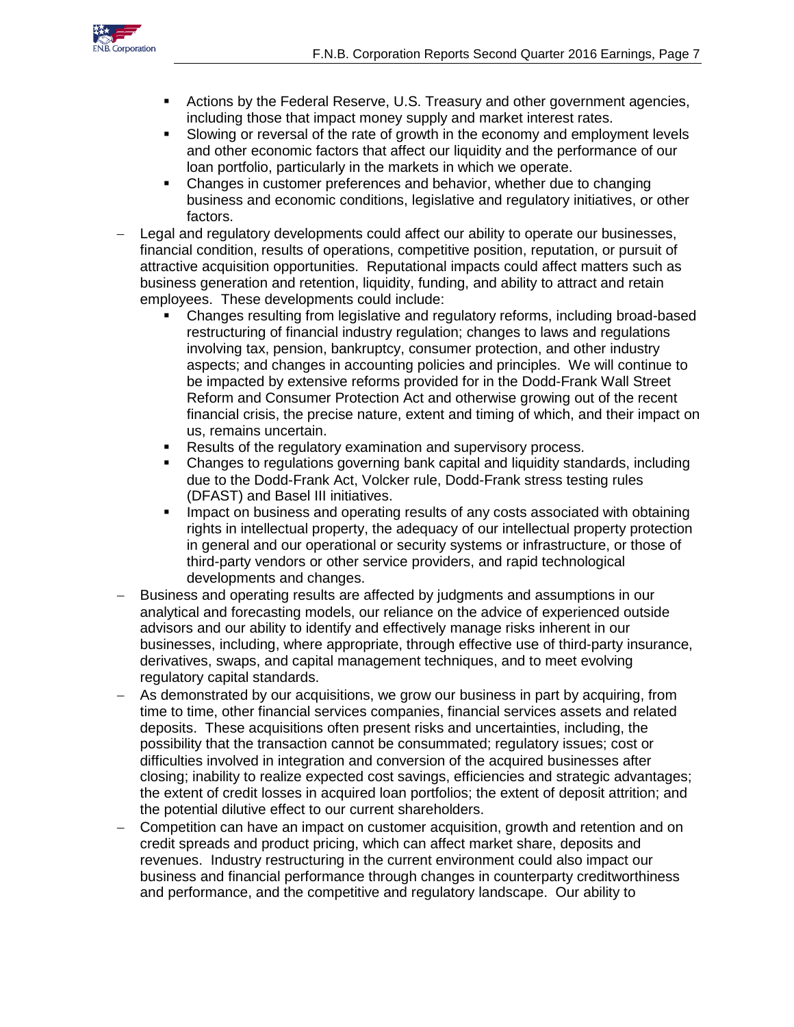

- Actions by the Federal Reserve, U.S. Treasury and other government agencies, including those that impact money supply and market interest rates.
- Slowing or reversal of the rate of growth in the economy and employment levels and other economic factors that affect our liquidity and the performance of our loan portfolio, particularly in the markets in which we operate.
- Changes in customer preferences and behavior, whether due to changing business and economic conditions, legislative and regulatory initiatives, or other factors.
- Legal and regulatory developments could affect our ability to operate our businesses, financial condition, results of operations, competitive position, reputation, or pursuit of attractive acquisition opportunities. Reputational impacts could affect matters such as business generation and retention, liquidity, funding, and ability to attract and retain employees. These developments could include:
	- Changes resulting from legislative and regulatory reforms, including broad-based restructuring of financial industry regulation; changes to laws and regulations involving tax, pension, bankruptcy, consumer protection, and other industry aspects; and changes in accounting policies and principles. We will continue to be impacted by extensive reforms provided for in the Dodd-Frank Wall Street Reform and Consumer Protection Act and otherwise growing out of the recent financial crisis, the precise nature, extent and timing of which, and their impact on us, remains uncertain.
	- Results of the regulatory examination and supervisory process.
	- Changes to regulations governing bank capital and liquidity standards, including due to the Dodd-Frank Act, Volcker rule, Dodd-Frank stress testing rules (DFAST) and Basel III initiatives.
	- **IMPACT ON BUS AND STARK IN ADAM IN STARK IN ADAM IN ADAM IN ADAM IN ADAM IN STARK IN STARK IN STARK IN STARK IN ADAM IN STARK IN ADAM IN STARK IN STARK IN STARK IN STARK IN STARK IN STARK IN STARK IN STARK IN STARK IN STA** rights in intellectual property, the adequacy of our intellectual property protection in general and our operational or security systems or infrastructure, or those of third-party vendors or other service providers, and rapid technological developments and changes.
- Business and operating results are affected by judgments and assumptions in our analytical and forecasting models, our reliance on the advice of experienced outside advisors and our ability to identify and effectively manage risks inherent in our businesses, including, where appropriate, through effective use of third-party insurance, derivatives, swaps, and capital management techniques, and to meet evolving regulatory capital standards.
- As demonstrated by our acquisitions, we grow our business in part by acquiring, from time to time, other financial services companies, financial services assets and related deposits. These acquisitions often present risks and uncertainties, including, the possibility that the transaction cannot be consummated; regulatory issues; cost or difficulties involved in integration and conversion of the acquired businesses after closing; inability to realize expected cost savings, efficiencies and strategic advantages; the extent of credit losses in acquired loan portfolios; the extent of deposit attrition; and the potential dilutive effect to our current shareholders.
- − Competition can have an impact on customer acquisition, growth and retention and on credit spreads and product pricing, which can affect market share, deposits and revenues. Industry restructuring in the current environment could also impact our business and financial performance through changes in counterparty creditworthiness and performance, and the competitive and regulatory landscape. Our ability to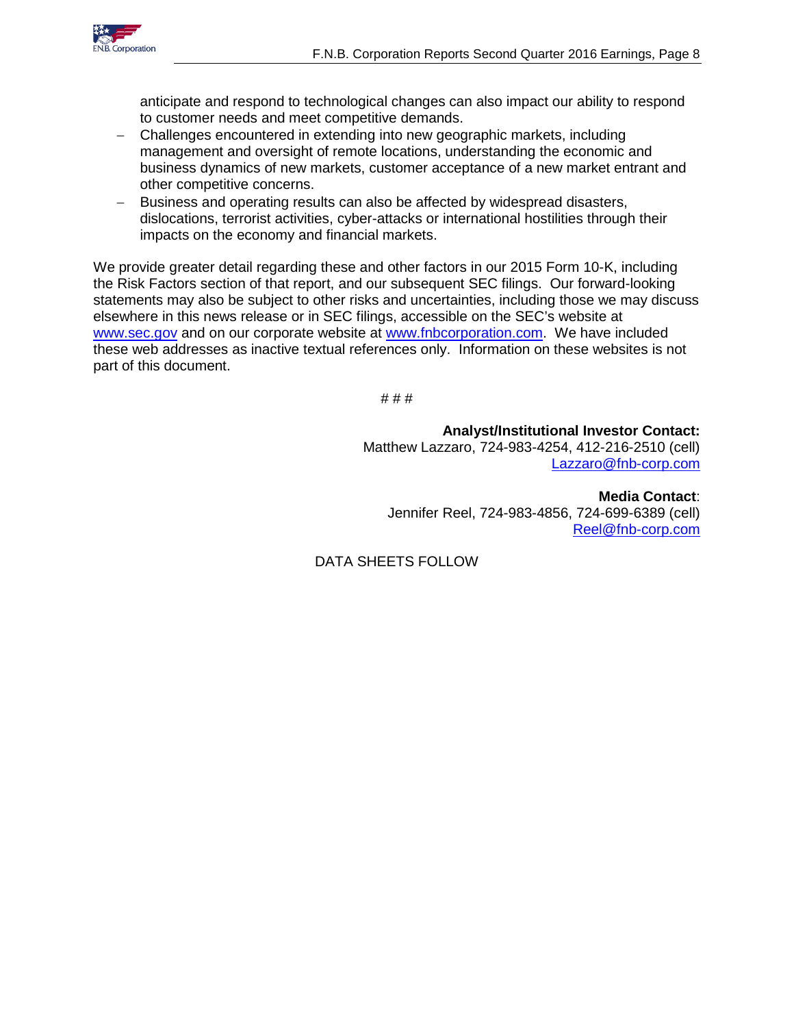

anticipate and respond to technological changes can also impact our ability to respond to customer needs and meet competitive demands.

- − Challenges encountered in extending into new geographic markets, including management and oversight of remote locations, understanding the economic and business dynamics of new markets, customer acceptance of a new market entrant and other competitive concerns.
- − Business and operating results can also be affected by widespread disasters, dislocations, terrorist activities, cyber-attacks or international hostilities through their impacts on the economy and financial markets.

We provide greater detail regarding these and other factors in our 2015 Form 10-K, including the Risk Factors section of that report, and our subsequent SEC filings. Our forward-looking statements may also be subject to other risks and uncertainties, including those we may discuss elsewhere in this news release or in SEC filings, accessible on the SEC's website at [www.sec.gov](http://www.sec.gov/) and on our corporate website at [www.fnbcorporation.com.](http://www.fnbcorporation.com/) We have included these web addresses as inactive textual references only. Information on these websites is not part of this document.

# # #

**Analyst/Institutional Investor Contact:** Matthew Lazzaro, 724-983-4254, 412-216-2510 (cell) [Lazzaro@fnb-corp.com](mailto:Lazzaro@fnb-corp.com)

**Media Contact**: Jennifer Reel, 724-983-4856, 724-699-6389 (cell) [Reel@fnb-corp.com](mailto:Reel@fnb-corp.com)

DATA SHEETS FOLLOW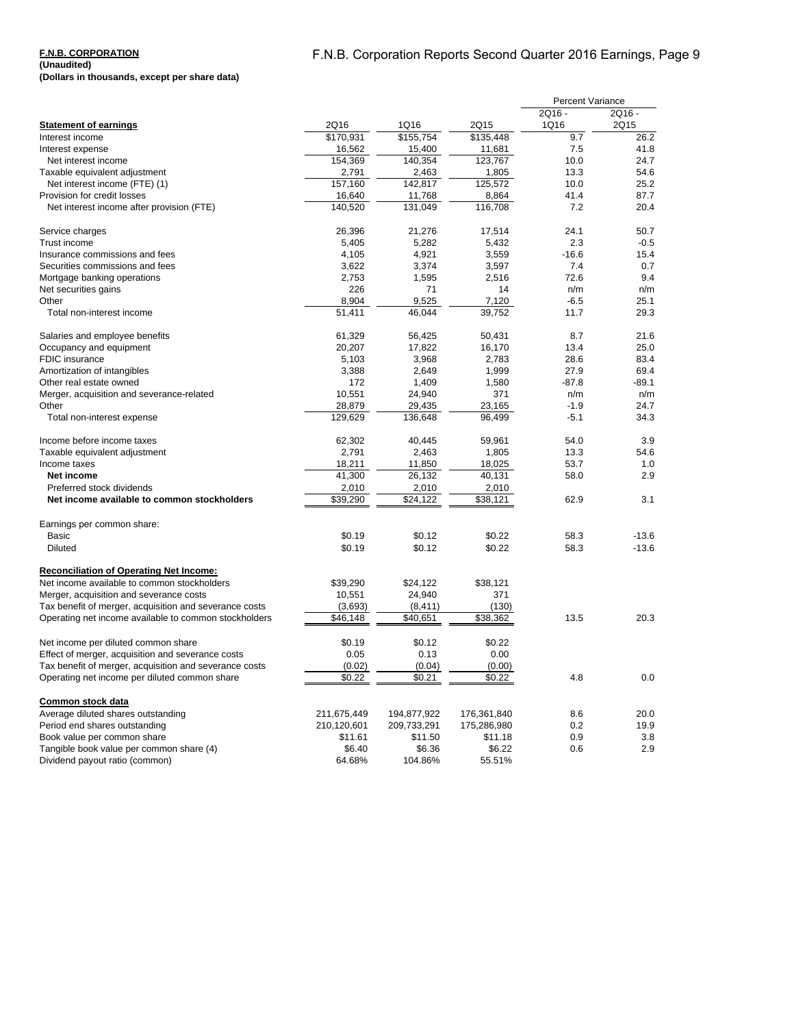|                                                        |             |             |             | <b>Percent Variance</b> |                |
|--------------------------------------------------------|-------------|-------------|-------------|-------------------------|----------------|
| <b>Statement of earnings</b>                           | 2Q16        | 1Q16        | 2Q15        | 2Q16 -<br>1Q16          | 2Q16 -<br>2Q15 |
| Interest income                                        | \$170,931   | \$155,754   | \$135,448   | 9.7                     | 26.2           |
| Interest expense                                       | 16,562      | 15,400      | 11,681      | 7.5                     | 41.8           |
| Net interest income                                    | 154,369     | 140,354     | 123,767     | 10.0                    | 24.7           |
| Taxable equivalent adjustment                          | 2,791       | 2,463       | 1,805       | 13.3                    | 54.6           |
| Net interest income (FTE) (1)                          | 157.160     | 142.817     | 125.572     | 10.0                    | 25.2           |
| Provision for credit losses                            | 16,640      | 11,768      | 8,864       | 41.4                    | 87.7           |
| Net interest income after provision (FTE)              | 140,520     | 131,049     | 116,708     | 7.2                     | 20.4           |
| Service charges                                        | 26,396      | 21,276      | 17,514      | 24.1                    | 50.7           |
| Trust income                                           | 5,405       | 5,282       | 5,432       | 2.3                     | $-0.5$         |
| Insurance commissions and fees                         | 4,105       | 4,921       | 3,559       | $-16.6$                 | 15.4           |
| Securities commissions and fees                        | 3,622       | 3,374       | 3,597       | 7.4                     | 0.7            |
| Mortgage banking operations                            | 2,753       | 1,595       | 2,516       | 72.6                    | 9.4            |
| Net securities gains                                   | 226         | 71          | 14          | n/m                     | n/m            |
| Other                                                  | 8,904       | 9,525       | 7,120       | $-6.5$                  | 25.1           |
| Total non-interest income                              | 51,411      | 46.044      | 39,752      | 11.7                    | 29.3           |
| Salaries and employee benefits                         | 61,329      | 56,425      | 50,431      | 8.7                     | 21.6           |
| Occupancy and equipment                                | 20,207      | 17,822      | 16,170      | 13.4                    | 25.0           |
| FDIC insurance                                         | 5,103       | 3,968       | 2,783       | 28.6                    | 83.4           |
| Amortization of intangibles                            | 3,388       | 2,649       | 1,999       | 27.9                    | 69.4           |
| Other real estate owned                                | 172         | 1,409       | 1,580       | $-87.8$                 | $-89.1$        |
| Merger, acquisition and severance-related              | 10,551      | 24,940      | 371         | n/m                     | n/m            |
| Other                                                  | 28,879      | 29,435      | 23,165      | $-1.9$                  | 24.7           |
| Total non-interest expense                             | 129,629     | 136,648     | 96,499      | $-5.1$                  | 34.3           |
| Income before income taxes                             | 62,302      | 40,445      | 59.961      | 54.0                    | 3.9            |
| Taxable equivalent adjustment                          | 2,791       | 2,463       | 1,805       | 13.3                    | 54.6           |
| Income taxes                                           | 18,211      | 11,850      | 18,025      | 53.7                    | 1.0            |
| <b>Net income</b>                                      | 41,300      | 26,132      | 40,131      | 58.0                    | 2.9            |
| Preferred stock dividends                              | 2,010       | 2,010       | 2,010       |                         |                |
| Net income available to common stockholders            | \$39,290    | \$24,122    | \$38,121    | 62.9                    | 3.1            |
| Earnings per common share:                             |             |             |             |                         |                |
| <b>Basic</b>                                           | \$0.19      | \$0.12      | \$0.22      | 58.3                    | $-13.6$        |
| <b>Diluted</b>                                         | \$0.19      | \$0.12      | \$0.22      | 58.3                    | $-13.6$        |
| <b>Reconciliation of Operating Net Income:</b>         |             |             |             |                         |                |
| Net income available to common stockholders            | \$39,290    | \$24,122    | \$38,121    |                         |                |
| Merger, acquisition and severance costs                | 10,551      | 24,940      | 371         |                         |                |
| Tax benefit of merger, acquisition and severance costs | (3,693)     | (8, 411)    | (130)       |                         |                |
| Operating net income available to common stockholders  | \$46,148    | \$40,651    | \$38,362    | 13.5                    | 20.3           |
| Net income per diluted common share                    | \$0.19      | \$0.12      | \$0.22      |                         |                |
| Effect of merger, acquisition and severance costs      | 0.05        | 0.13        | 0.00        |                         |                |
| Tax benefit of merger, acquisition and severance costs | (0.02)      | (0.04)      | (0.00)      |                         |                |
| Operating net income per diluted common share          | \$0.22      | \$0.21      | \$0.22      | 4.8                     | 0.0            |
| Common stock data                                      |             |             |             |                         |                |
| Average diluted shares outstanding                     | 211,675,449 | 194,877,922 | 176,361,840 | 8.6                     | 20.0           |
| Period end shares outstanding                          | 210,120,601 | 209,733,291 | 175,286,980 | 0.2                     | 19.9           |
| Book value per common share                            | \$11.61     | \$11.50     | \$11.18     | 0.9                     | 3.8            |
| Tangible book value per common share (4)               | \$6.40      | \$6.36      | \$6.22      | 0.6                     | 2.9            |
| Dividend payout ratio (common)                         | 64.68%      | 104.86%     | 55.51%      |                         |                |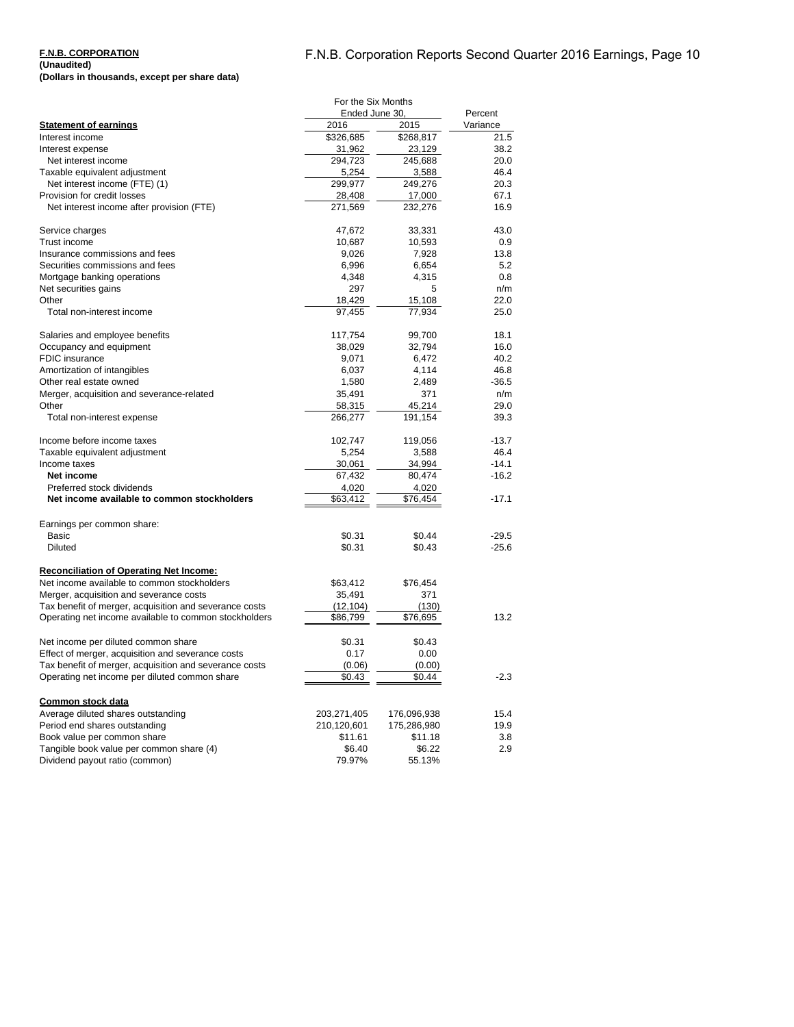|                                                        | For the Six Months |             |          |  |
|--------------------------------------------------------|--------------------|-------------|----------|--|
|                                                        | Ended June 30,     |             | Percent  |  |
| <b>Statement of earnings</b>                           | 2016               | 2015        | Variance |  |
| Interest income                                        | \$326,685          | \$268,817   | 21.5     |  |
| Interest expense                                       | 31,962             | 23,129      | 38.2     |  |
| Net interest income                                    | 294,723            | 245,688     | 20.0     |  |
| Taxable equivalent adjustment                          | 5,254              | 3,588       | 46.4     |  |
| Net interest income (FTE) (1)                          | 299,977            | 249,276     | 20.3     |  |
| Provision for credit losses                            | 28,408             | 17,000      | 67.1     |  |
|                                                        |                    |             |          |  |
| Net interest income after provision (FTE)              | 271,569            | 232,276     | 16.9     |  |
| Service charges                                        | 47,672             | 33,331      | 43.0     |  |
| Trust income                                           | 10,687             | 10,593      | 0.9      |  |
| Insurance commissions and fees                         | 9,026              | 7,928       | 13.8     |  |
| Securities commissions and fees                        | 6,996              | 6,654       | 5.2      |  |
| Mortgage banking operations                            | 4,348              | 4,315       | 0.8      |  |
| Net securities gains                                   | 297                | 5           | n/m      |  |
| Other                                                  | 18,429             | 15,108      | 22.0     |  |
| Total non-interest income                              | 97,455             | 77,934      | 25.0     |  |
|                                                        |                    |             |          |  |
| Salaries and employee benefits                         | 117,754            | 99,700      | 18.1     |  |
| Occupancy and equipment                                | 38,029             | 32,794      | 16.0     |  |
| FDIC insurance                                         | 9,071              | 6,472       | 40.2     |  |
| Amortization of intangibles                            | 6,037              | 4,114       | 46.8     |  |
| Other real estate owned                                | 1,580              | 2,489       | $-36.5$  |  |
| Merger, acquisition and severance-related              | 35,491             | 371         | n/m      |  |
| Other                                                  | 58,315             | 45,214      | 29.0     |  |
| Total non-interest expense                             | 266,277            | 191,154     | 39.3     |  |
|                                                        |                    |             |          |  |
| Income before income taxes                             | 102,747            | 119,056     | $-13.7$  |  |
| Taxable equivalent adjustment                          | 5,254              | 3,588       | 46.4     |  |
| Income taxes                                           | 30,061             | 34,994      | $-14.1$  |  |
| Net income                                             | 67,432             | 80,474      | $-16.2$  |  |
| Preferred stock dividends                              | 4,020              | 4,020       |          |  |
| Net income available to common stockholders            | \$63,412           | \$76,454    | $-17.1$  |  |
| Earnings per common share:                             |                    |             |          |  |
| <b>Basic</b>                                           | \$0.31             | \$0.44      | $-29.5$  |  |
|                                                        | \$0.31             | \$0.43      | $-25.6$  |  |
| Diluted                                                |                    |             |          |  |
| <b>Reconciliation of Operating Net Income:</b>         |                    |             |          |  |
| Net income available to common stockholders            | \$63,412           | \$76,454    |          |  |
| Merger, acquisition and severance costs                | 35,491             | 371         |          |  |
| Tax benefit of merger, acquisition and severance costs | (12, 104)          | (130)       |          |  |
| Operating net income available to common stockholders  | \$86,799           | \$76,695    | 13.2     |  |
|                                                        |                    |             |          |  |
| Net income per diluted common share                    | \$0.31             | \$0.43      |          |  |
| Effect of merger, acquisition and severance costs      | 0.17               | 0.00        |          |  |
| Tax benefit of merger, acquisition and severance costs | (0.06)             | (0.00)      |          |  |
| Operating net income per diluted common share          | \$0.43             | \$0.44      | $-2.3$   |  |
| Common stock data                                      |                    |             |          |  |
| Average diluted shares outstanding                     | 203,271,405        | 176,096,938 | 15.4     |  |
| Period end shares outstanding                          | 210,120,601        | 175,286,980 | 19.9     |  |
| Book value per common share                            | \$11.61            | \$11.18     | 3.8      |  |
|                                                        | \$6.40             | \$6.22      | 2.9      |  |
| Tangible book value per common share (4)               |                    |             |          |  |
| Dividend payout ratio (common)                         | 79.97%             | 55.13%      |          |  |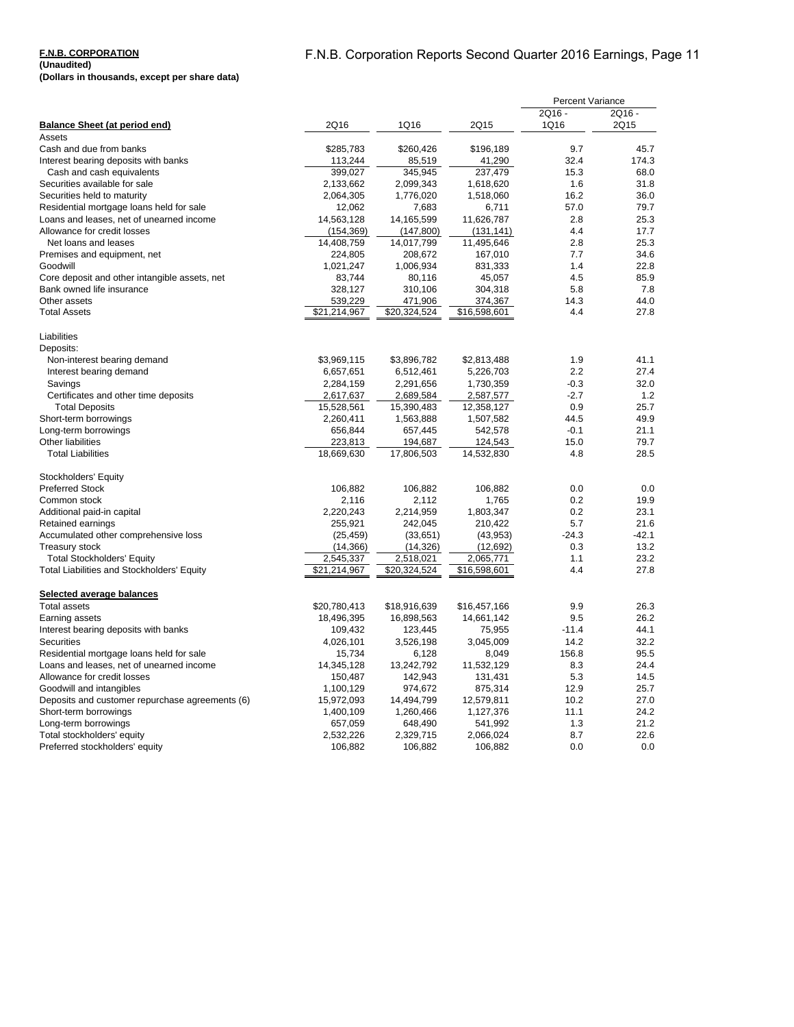|                                                 |              |              |              | Percent Variance |         |
|-------------------------------------------------|--------------|--------------|--------------|------------------|---------|
|                                                 |              |              |              | 2Q16 -           | 2Q16 -  |
| <b>Balance Sheet (at period end)</b>            | 2Q16         | 1Q16         | 2Q15         | 1Q16             | 2Q15    |
| Assets                                          |              |              |              |                  |         |
| Cash and due from banks                         | \$285,783    | \$260,426    | \$196,189    | 9.7              | 45.7    |
| Interest bearing deposits with banks            | 113,244      | 85,519       | 41,290       | 32.4             | 174.3   |
| Cash and cash equivalents                       | 399,027      | 345,945      | 237,479      | 15.3             | 68.0    |
| Securities available for sale                   | 2,133,662    | 2,099,343    | 1,618,620    | 1.6              | 31.8    |
| Securities held to maturity                     | 2,064,305    | 1,776,020    | 1,518,060    | 16.2             | 36.0    |
| Residential mortgage loans held for sale        | 12,062       | 7,683        | 6,711        | 57.0             | 79.7    |
| Loans and leases, net of unearned income        | 14,563,128   | 14,165,599   | 11,626,787   | 2.8              | 25.3    |
| Allowance for credit losses                     | (154, 369)   | (147, 800)   | (131, 141)   | 4.4              | 17.7    |
| Net loans and leases                            | 14,408,759   | 14,017,799   | 11,495,646   | 2.8              | 25.3    |
| Premises and equipment, net                     | 224,805      | 208,672      | 167,010      | 7.7              | 34.6    |
| Goodwill                                        | 1,021,247    | 1,006,934    | 831,333      | 1.4              | 22.8    |
| Core deposit and other intangible assets, net   | 83,744       | 80,116       | 45,057       | 4.5              | 85.9    |
| Bank owned life insurance                       | 328,127      | 310,106      | 304,318      | 5.8              | 7.8     |
| Other assets                                    | 539,229      | 471,906      | 374,367      | 14.3             | 44.0    |
| <b>Total Assets</b>                             | \$21,214,967 | \$20,324,524 | \$16,598,601 | 4.4              | 27.8    |
| Liabilities                                     |              |              |              |                  |         |
| Deposits:                                       |              |              |              |                  |         |
| Non-interest bearing demand                     | \$3,969,115  | \$3,896,782  | \$2,813,488  | 1.9              | 41.1    |
| Interest bearing demand                         | 6,657,651    | 6,512,461    | 5,226,703    | 2.2              | 27.4    |
| Savings                                         | 2,284,159    | 2,291,656    | 1,730,359    | $-0.3$           | 32.0    |
| Certificates and other time deposits            | 2,617,637    | 2,689,584    | 2,587,577    | $-2.7$           | 1.2     |
| <b>Total Deposits</b>                           | 15,528,561   | 15,390,483   | 12,358,127   | 0.9              | 25.7    |
| Short-term borrowings                           | 2,260,411    | 1,563,888    | 1,507,582    | 44.5             | 49.9    |
| Long-term borrowings                            | 656,844      | 657,445      | 542,578      | $-0.1$           | 21.1    |
| Other liabilities                               | 223,813      | 194,687      | 124,543      | 15.0             | 79.7    |
| <b>Total Liabilities</b>                        | 18,669,630   | 17,806,503   | 14,532,830   | 4.8              | 28.5    |
| Stockholders' Equity                            |              |              |              |                  |         |
| <b>Preferred Stock</b>                          | 106,882      | 106,882      | 106,882      | 0.0              | 0.0     |
| Common stock                                    | 2,116        | 2,112        | 1,765        | 0.2              | 19.9    |
| Additional paid-in capital                      | 2,220,243    | 2,214,959    | 1,803,347    | 0.2              | 23.1    |
| Retained earnings                               | 255,921      | 242,045      | 210,422      | 5.7              | 21.6    |
| Accumulated other comprehensive loss            | (25, 459)    | (33,651)     | (43, 953)    | $-24.3$          | $-42.1$ |
| <b>Treasury stock</b>                           | (14, 366)    | (14, 326)    | (12,692)     | 0.3              | 13.2    |
| <b>Total Stockholders' Equity</b>               | 2,545,337    | 2,518,021    | 2,065,771    | 1.1              | 23.2    |
| Total Liabilities and Stockholders' Equity      | \$21,214,967 | \$20,324,524 | \$16,598,601 | 4.4              | 27.8    |
| Selected average balances                       |              |              |              |                  |         |
| <b>Total assets</b>                             | \$20,780,413 | \$18,916,639 | \$16,457,166 | 9.9              | 26.3    |
| Earning assets                                  | 18,496,395   | 16,898,563   | 14,661,142   | 9.5              | 26.2    |
| Interest bearing deposits with banks            | 109,432      | 123,445      | 75,955       | $-11.4$          | 44.1    |
| <b>Securities</b>                               | 4,026,101    | 3,526,198    | 3,045,009    | 14.2             | 32.2    |
| Residential mortgage loans held for sale        | 15,734       | 6,128        | 8,049        | 156.8            | 95.5    |
| Loans and leases, net of unearned income        | 14,345,128   | 13,242,792   | 11,532,129   | 8.3              | 24.4    |
| Allowance for credit losses                     | 150,487      | 142,943      | 131,431      | 5.3              | 14.5    |
| Goodwill and intangibles                        | 1,100,129    | 974,672      | 875,314      | 12.9             | 25.7    |
| Deposits and customer repurchase agreements (6) | 15,972,093   | 14,494,799   | 12,579,811   | 10.2             | 27.0    |
| Short-term borrowings                           | 1,400,109    | 1,260,466    | 1,127,376    | 11.1             | 24.2    |
| Long-term borrowings                            | 657,059      | 648,490      | 541,992      | 1.3              | 21.2    |
| Total stockholders' equity                      | 2,532,226    | 2,329,715    | 2,066,024    | 8.7              | 22.6    |
| Preferred stockholders' equity                  | 106,882      | 106,882      | 106,882      | 0.0              | 0.0     |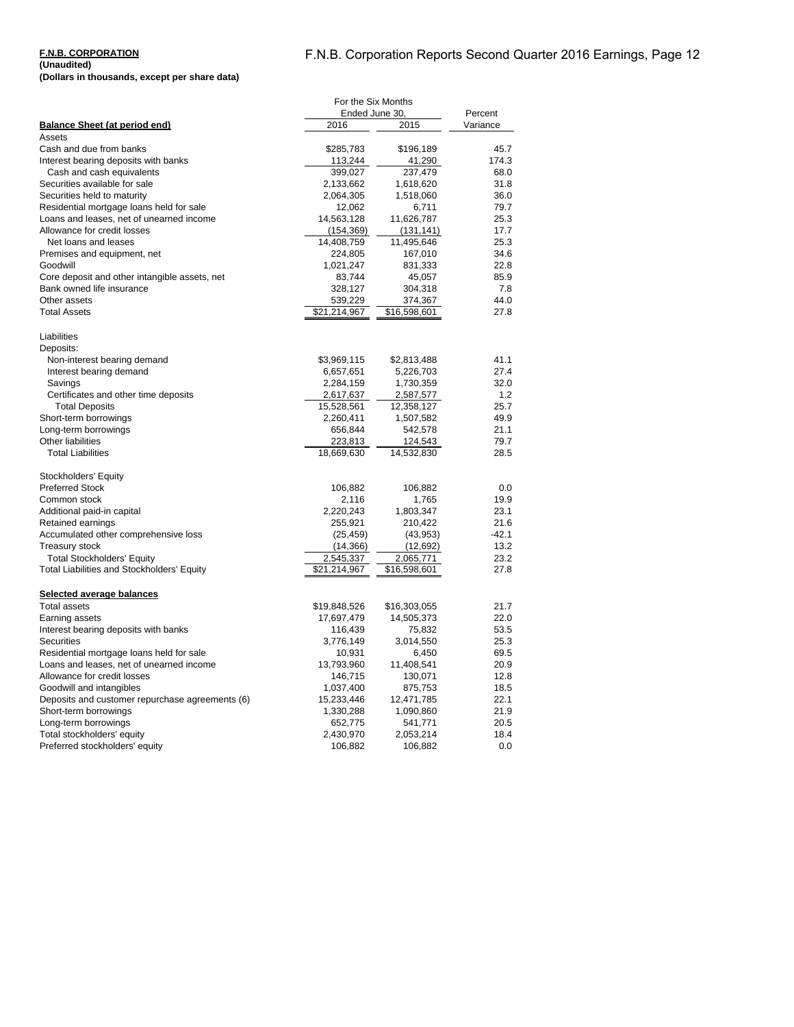|                                                 | For the Six Months |              |          |
|-------------------------------------------------|--------------------|--------------|----------|
|                                                 | Ended June 30.     |              | Percent  |
| <b>Balance Sheet (at period end)</b>            | 2016               | 2015         | Variance |
| Assets                                          |                    |              |          |
| Cash and due from banks                         | \$285,783          | \$196,189    | 45.7     |
| Interest bearing deposits with banks            | 113,244            | 41,290       | 174.3    |
| Cash and cash equivalents                       | 399,027            | 237,479      | 68.0     |
| Securities available for sale                   | 2,133,662          | 1,618,620    | 31.8     |
| Securities held to maturity                     | 2,064,305          | 1,518,060    | 36.0     |
| Residential mortgage loans held for sale        | 12,062             | 6,711        | 79.7     |
| Loans and leases, net of unearned income        | 14,563,128         | 11,626,787   | 25.3     |
| Allowance for credit losses                     | (154, 369)         | (131, 141)   | 17.7     |
| Net loans and leases                            | 14,408,759         | 11,495,646   | 25.3     |
| Premises and equipment, net                     | 224,805            | 167,010      | 34.6     |
| Goodwill                                        | 1,021,247          | 831,333      | 22.8     |
| Core deposit and other intangible assets, net   | 83,744             | 45,057       | 85.9     |
| Bank owned life insurance                       | 328,127            | 304,318      | 7.8      |
| Other assets                                    | 539,229            | 374,367      | 44.0     |
| <b>Total Assets</b>                             | \$21,214,967       | \$16,598,601 | 27.8     |
| Liabilities                                     |                    |              |          |
| Deposits:                                       |                    |              |          |
| Non-interest bearing demand                     | \$3,969,115        | \$2,813,488  | 41.1     |
| Interest bearing demand                         | 6,657,651          | 5,226,703    | 27.4     |
| Savings                                         | 2,284,159          | 1,730,359    | 32.0     |
| Certificates and other time deposits            | 2,617,637          | 2,587,577    | 1.2      |
| <b>Total Deposits</b>                           | 15,528,561         | 12,358,127   | 25.7     |
| Short-term borrowings                           | 2,260,411          | 1,507,582    | 49.9     |
| Long-term borrowings                            | 656,844            | 542,578      | 21.1     |
| Other liabilities                               | 223,813            | 124,543      | 79.7     |
| <b>Total Liabilities</b>                        | 18,669,630         | 14,532,830   | 28.5     |
|                                                 |                    |              |          |
| Stockholders' Equity                            |                    |              |          |
| <b>Preferred Stock</b>                          | 106,882            | 106,882      | 0.0      |
| Common stock                                    | 2,116              | 1,765        | 19.9     |
| Additional paid-in capital                      | 2,220,243          | 1,803,347    | 23.1     |
| Retained earnings                               | 255,921            | 210,422      | 21.6     |
| Accumulated other comprehensive loss            | (25, 459)          | (43, 953)    | $-42.1$  |
| <b>Treasury stock</b>                           | (14, 366)          | (12, 692)    | 13.2     |
| <b>Total Stockholders' Equity</b>               | 2,545,337          | 2,065,771    | 23.2     |
| Total Liabilities and Stockholders' Equity      | \$21,214,967       | \$16,598,601 | 27.8     |
| Selected average balances                       |                    |              |          |
| <b>Total assets</b>                             | \$19,848,526       | \$16,303,055 | 21.7     |
| Earning assets                                  | 17,697,479         | 14,505,373   | 22.0     |
| Interest bearing deposits with banks            | 116,439            | 75,832       | 53.5     |
| Securities                                      | 3,776,149          | 3,014,550    | 25.3     |
| Residential mortgage loans held for sale        | 10,931             | 6,450        | 69.5     |
| Loans and leases, net of unearned income        | 13,793,960         | 11,408,541   | 20.9     |
|                                                 |                    |              |          |
| Allowance for credit losses                     | 146,715            | 130,071      | 12.8     |
| Goodwill and intangibles                        | 1,037,400          | 875,753      | 18.5     |
| Deposits and customer repurchase agreements (6) | 15,233,446         | 12,471,785   | 22.1     |
| Short-term borrowings                           | 1,330,288          | 1,090,860    | 21.9     |
| Long-term borrowings                            | 652,775            | 541,771      | 20.5     |
| Total stockholders' equity                      | 2,430,970          | 2,053,214    | 18.4     |
| Preferred stockholders' equity                  | 106,882            | 106,882      | 0.0      |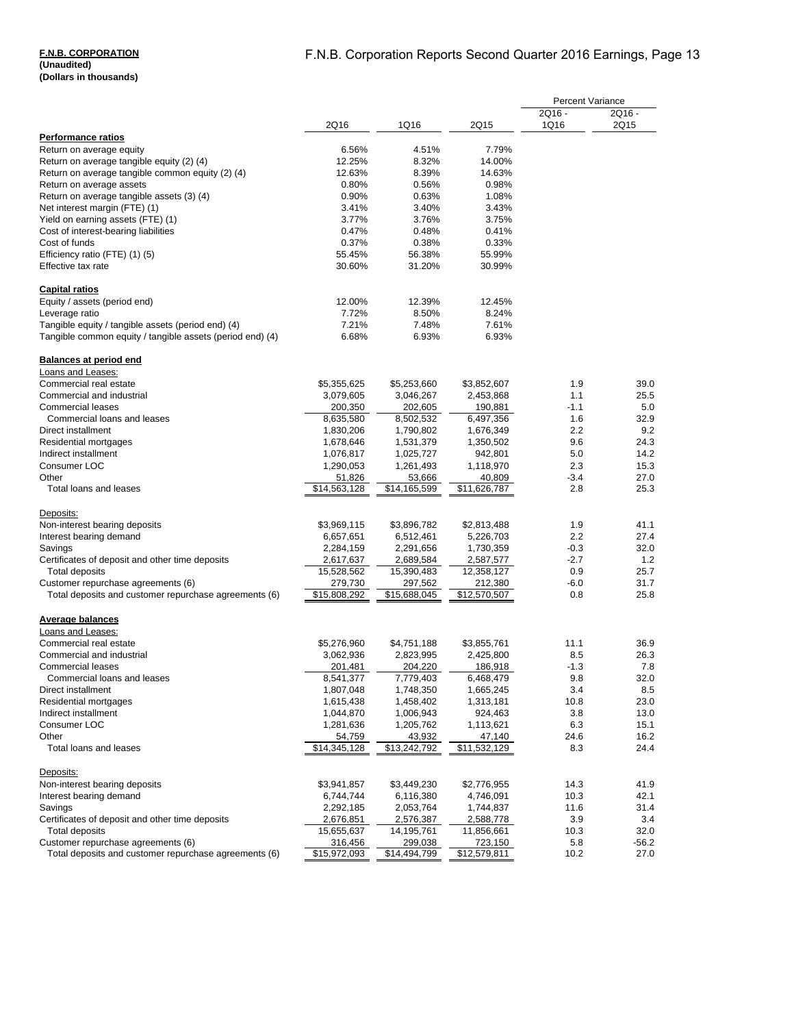#### **F.N.B. CORPORATION (Unaudited) (Dollars in thousands)**

|                                                                                               |                        |                        |                        | <b>Percent Variance</b> |             |
|-----------------------------------------------------------------------------------------------|------------------------|------------------------|------------------------|-------------------------|-------------|
|                                                                                               |                        |                        |                        | 2Q16 -                  | 2Q16 -      |
|                                                                                               | 2Q16                   | 1Q16                   | 2Q15                   | 1Q16                    | 2Q15        |
| <u>Performance ratios</u>                                                                     |                        |                        |                        |                         |             |
| Return on average equity                                                                      | 6.56%<br>12.25%        | 4.51%<br>8.32%         | 7.79%<br>14.00%        |                         |             |
| Return on average tangible equity (2) (4)<br>Return on average tangible common equity (2) (4) | 12.63%                 | 8.39%                  | 14.63%                 |                         |             |
| Return on average assets                                                                      | 0.80%                  | 0.56%                  | 0.98%                  |                         |             |
| Return on average tangible assets (3) (4)                                                     | 0.90%                  | 0.63%                  | 1.08%                  |                         |             |
| Net interest margin (FTE) (1)                                                                 | 3.41%                  | 3.40%                  | 3.43%                  |                         |             |
| Yield on earning assets (FTE) (1)                                                             | 3.77%                  | 3.76%                  | 3.75%                  |                         |             |
| Cost of interest-bearing liabilities                                                          | 0.47%                  | 0.48%                  | 0.41%                  |                         |             |
| Cost of funds                                                                                 | 0.37%                  | 0.38%                  | 0.33%                  |                         |             |
| Efficiency ratio (FTE) (1) (5)                                                                | 55.45%                 | 56.38%                 | 55.99%                 |                         |             |
| Effective tax rate                                                                            | 30.60%                 | 31.20%                 | 30.99%                 |                         |             |
| <u>Capital ratios</u>                                                                         |                        |                        |                        |                         |             |
| Equity / assets (period end)                                                                  | 12.00%                 | 12.39%                 | 12.45%                 |                         |             |
| Leverage ratio                                                                                | 7.72%                  | 8.50%                  | 8.24%                  |                         |             |
| Tangible equity / tangible assets (period end) (4)                                            | 7.21%                  | 7.48%                  | 7.61%                  |                         |             |
| Tangible common equity / tangible assets (period end) (4)                                     | 6.68%                  | 6.93%                  | 6.93%                  |                         |             |
| <u>Balances at period end</u>                                                                 |                        |                        |                        |                         |             |
| Loans and Leases:                                                                             |                        |                        |                        |                         |             |
| Commercial real estate                                                                        | \$5,355,625            | \$5,253,660            | \$3,852,607            | 1.9                     | 39.0        |
| Commercial and industrial                                                                     | 3,079,605              | 3,046,267              | 2,453,868              | 1.1                     | 25.5        |
| <b>Commercial leases</b>                                                                      | 200,350                | 202,605                | 190,881                | $-1.1$                  | 5.0         |
| Commercial loans and leases                                                                   | 8,635,580              | 8,502,532              | 6,497,356              | 1.6                     | 32.9        |
| Direct installment<br>Residential mortgages                                                   | 1,830,206<br>1,678,646 | 1,790,802<br>1,531,379 | 1,676,349<br>1,350,502 | 2.2<br>9.6              | 9.2<br>24.3 |
| Indirect installment                                                                          | 1,076,817              | 1,025,727              | 942,801                | 5.0                     | 14.2        |
| Consumer LOC                                                                                  | 1,290,053              | 1,261,493              | 1,118,970              | 2.3                     | 15.3        |
| Other                                                                                         | 51,826                 | 53,666                 | 40,809                 | -3.4                    | 27.0        |
| Total loans and leases                                                                        | \$14,563,128           | \$14,165,599           | \$11,626,787           | 2.8                     | 25.3        |
| Deposits:                                                                                     |                        |                        |                        |                         |             |
| Non-interest bearing deposits                                                                 | \$3,969,115            | \$3,896,782            | \$2,813,488            | 1.9                     | 41.1        |
| Interest bearing demand                                                                       | 6,657,651              | 6,512,461              | 5,226,703              | 2.2                     | 27.4        |
| Savings                                                                                       | 2,284,159              | 2,291,656              | 1,730,359              | -0.3                    | 32.0        |
| Certificates of deposit and other time deposits                                               | 2,617,637              | 2,689,584              | 2,587,577              | $-2.7$                  | 1.2         |
| Total deposits                                                                                | 15,528,562             | 15,390,483             | 12,358,127             | 0.9                     | 25.7        |
| Customer repurchase agreements (6)                                                            | 279,730                | 297,562                | 212,380                | -6.0                    | 31.7        |
| Total deposits and customer repurchase agreements (6)                                         | \$15,808,292           | \$15,688,045           | \$12,570,507           | 0.8                     | 25.8        |
| Average balances                                                                              |                        |                        |                        |                         |             |
| Loans and Leases:                                                                             |                        |                        |                        |                         |             |
| Commercial real estate                                                                        | \$5,276,960            | \$4,751,188            | \$3,855,761            | 11.1                    | 36.9        |
| Commercial and industrial<br>Commercial leases                                                | 3,062,936              | 2,823,995              | 2,425,800              | 8.5<br>$-1.3$           | 26.3<br>7.8 |
| Commercial loans and leases                                                                   | 201,481<br>8,541,377   | 204,220<br>7,779,403   | 186,918<br>6,468,479   | 9.8                     | 32.0        |
| Direct installment                                                                            | 1,807,048              | 1,748,350              | 1,665,245              | 3.4                     | 8.5         |
| Residential mortgages                                                                         | 1,615,438              | 1,458,402              | 1,313,181              | 10.8                    | 23.0        |
| Indirect installment                                                                          | 1,044,870              | 1,006,943              | 924,463                | 3.8                     | 13.0        |
| Consumer LOC                                                                                  | 1,281,636              | 1,205,762              | 1,113,621              | 6.3                     | 15.1        |
| Other                                                                                         | 54,759                 | 43,932                 | 47,140                 | 24.6                    | 16.2        |
| Total loans and leases                                                                        | \$14,345,128           | \$13,242,792           | \$11,532,129           | 8.3                     | 24.4        |
| Deposits:                                                                                     |                        |                        |                        |                         |             |
| Non-interest bearing deposits                                                                 | \$3,941,857            | \$3,449,230            | \$2,776,955            | 14.3                    | 41.9        |
| Interest bearing demand                                                                       | 6,744,744              | 6,116,380              | 4,746,091              | 10.3                    | 42.1        |
| Savings                                                                                       | 2,292,185              | 2,053,764              | 1,744,837              | 11.6                    | 31.4        |
| Certificates of deposit and other time deposits                                               | 2,676,851              | 2,576,387              | 2,588,778              | 3.9                     | 3.4         |
| Total deposits                                                                                | 15,655,637             | 14,195,761             | 11,856,661             | 10.3                    | 32.0        |
| Customer repurchase agreements (6)                                                            | 316,456                | 299,038                | 723,150                | 5.8                     | $-56.2$     |
| Total deposits and customer repurchase agreements (6)                                         | \$15,972,093           | \$14,494,799           | \$12,579,811           | 10.2                    | 27.0        |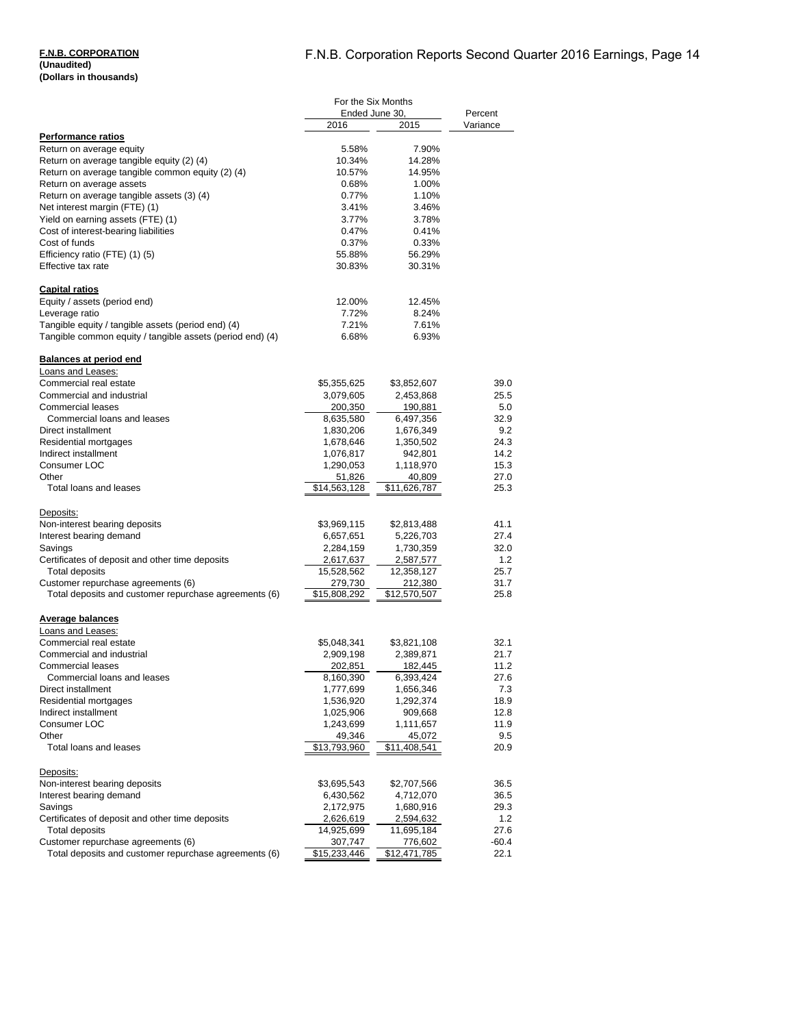#### **F.N.B. CORPORATION (Unaudited)**

|                                                                                             | Ended June 30,          | For the Six Months      | Percent       |
|---------------------------------------------------------------------------------------------|-------------------------|-------------------------|---------------|
|                                                                                             | 2016                    | 2015                    | Variance      |
| <b>Performance ratios</b>                                                                   |                         |                         |               |
| Return on average equity                                                                    | 5.58%                   | 7.90%                   |               |
| Return on average tangible equity (2) (4)                                                   | 10.34%                  | 14.28%                  |               |
| Return on average tangible common equity (2) (4)                                            | 10.57%                  | 14.95%                  |               |
| Return on average assets                                                                    | 0.68%                   | 1.00%                   |               |
| Return on average tangible assets (3) (4)                                                   | 0.77%                   | 1.10%                   |               |
| Net interest margin (FTE) (1)                                                               | 3.41%                   | 3.46%                   |               |
| Yield on earning assets (FTE) (1)                                                           | 3.77%                   | 3.78%                   |               |
| Cost of interest-bearing liabilities                                                        | 0.47%                   | 0.41%                   |               |
| Cost of funds                                                                               | 0.37%                   | 0.33%                   |               |
| Efficiency ratio (FTE) (1) (5)                                                              | 55.88%                  | 56.29%                  |               |
| Effective tax rate                                                                          | 30.83%                  | 30.31%                  |               |
| <u>Capital ratios</u>                                                                       |                         |                         |               |
| Equity / assets (period end)                                                                | 12.00%                  | 12.45%                  |               |
| Leverage ratio                                                                              | 7.72%                   | 8.24%                   |               |
| Tangible equity / tangible assets (period end) (4)                                          | 7.21%                   | 7.61%                   |               |
| Tangible common equity / tangible assets (period end) (4)                                   | 6.68%                   | 6.93%                   |               |
| <b>Balances at period end</b>                                                               |                         |                         |               |
| Loans and Leases:                                                                           |                         |                         |               |
| Commercial real estate                                                                      | \$5,355,625             | \$3,852,607             | 39.0          |
| Commercial and industrial                                                                   | 3,079,605               | 2,453,868               | 25.5          |
| <b>Commercial leases</b>                                                                    | 200,350                 | 190,881                 | 5.0           |
| Commercial loans and leases                                                                 | 8,635,580               | 6,497,356               | 32.9          |
| Direct installment                                                                          | 1,830,206               | 1,676,349               | 9.2           |
| Residential mortgages                                                                       | 1,678,646               | 1,350,502               | 24.3          |
| Indirect installment                                                                        | 1,076,817               | 942,801                 | 14.2          |
| Consumer LOC                                                                                | 1,290,053               | 1,118,970               | 15.3          |
| Other<br>Total loans and leases                                                             | 51,826                  | 40,809                  | 27.0          |
|                                                                                             | \$14,563,128            | \$11,626,787            | 25.3          |
| Deposits:                                                                                   |                         |                         |               |
| Non-interest bearing deposits                                                               | \$3,969,115             | \$2,813,488             | 41.1          |
| Interest bearing demand                                                                     | 6,657,651               | 5,226,703               | 27.4          |
| Savings                                                                                     | 2,284,159               | 1,730,359               | 32.0          |
| Certificates of deposit and other time deposits                                             | 2,617,637               | 2,587,577               | 1.2           |
| <b>Total deposits</b>                                                                       | 15,528,562              | 12,358,127              | 25.7          |
| Customer repurchase agreements (6)                                                          | 279,730                 | 212,380                 | 31.7          |
| Total deposits and customer repurchase agreements (6)                                       | \$15,808,292            | \$12,570,507            | 25.8          |
| <b>Average balances</b>                                                                     |                         |                         |               |
| Loans and Leases:                                                                           |                         |                         |               |
| Commercial real estate                                                                      | \$5,048,341             | \$3,821,108             | 32.1          |
| Commercial and industrial                                                                   | 2,909,198               | 2,389,871               | 21.7          |
| <b>Commercial leases</b>                                                                    | 202,851                 | 182,445                 | 11.2          |
| Commercial loans and leases                                                                 | 8,160,390               | 6,393,424               | 27.6          |
| Direct installment                                                                          | 1,777,699               | 1,656,346               | 7.3           |
| Residential mortgages<br>Indirect installment                                               | 1,536,920<br>1,025,906  | 1,292,374<br>909,668    | 18.9<br>12.8  |
| Consumer LOC                                                                                | 1,243,699               | 1,111,657               | 11.9          |
| Other                                                                                       | 49,346                  | 45,072                  | 9.5           |
| Total loans and leases                                                                      | \$13,793,960            | \$11.408.541            | 20.9          |
|                                                                                             |                         |                         |               |
| Deposits:                                                                                   |                         |                         |               |
| Non-interest bearing deposits                                                               | \$3,695,543             | \$2,707,566             | 36.5          |
| Interest bearing demand                                                                     | 6,430,562               | 4,712,070               | 36.5          |
| Savings                                                                                     | 2,172,975               | 1,680,916               | 29.3          |
| Certificates of deposit and other time deposits                                             | 2,626,619               | 2,594,632               | 1.2           |
| <b>Total deposits</b>                                                                       | 14,925,699              | 11,695,184              | 27.6          |
| Customer repurchase agreements (6)<br>Total deposits and customer repurchase agreements (6) | 307,747<br>\$15,233,446 | 776,602<br>\$12,471,785 | -60.4<br>22.1 |
|                                                                                             |                         |                         |               |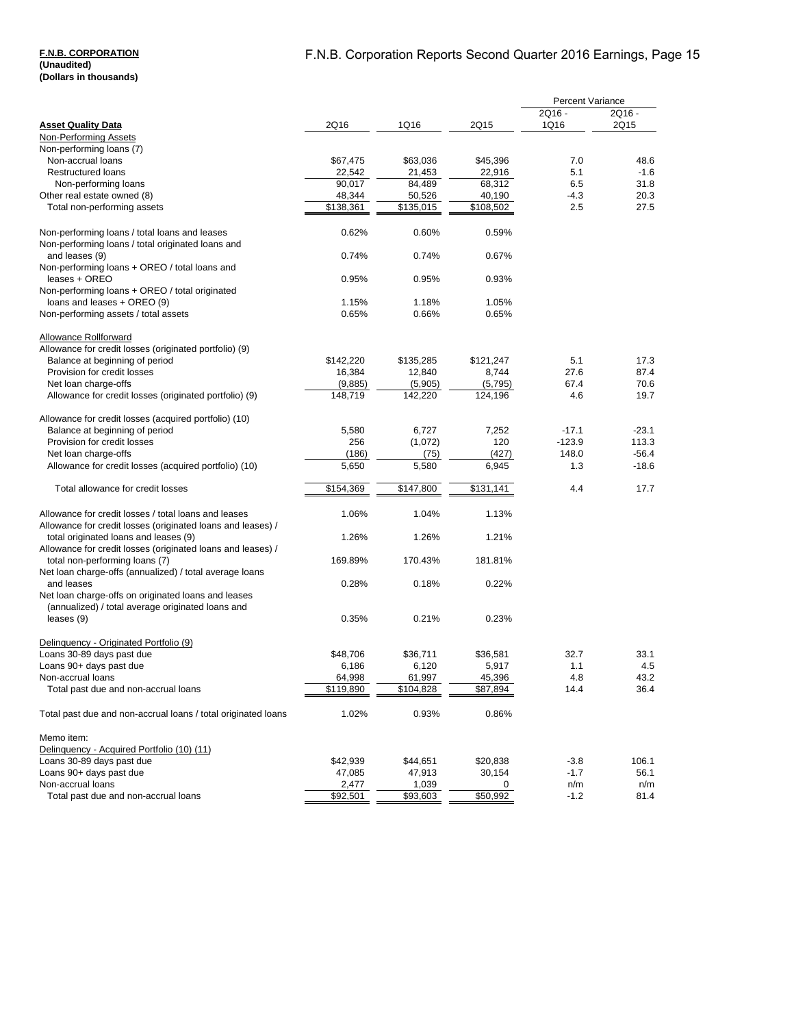|                                                                                                                     |           |           |           | <b>Percent Variance</b> |         |
|---------------------------------------------------------------------------------------------------------------------|-----------|-----------|-----------|-------------------------|---------|
|                                                                                                                     |           |           |           | 2Q16 -                  | 2Q16 -  |
| <b>Asset Quality Data</b>                                                                                           | 2Q16      | 1Q16      | 2Q15      | 1Q16                    | 2Q15    |
| Non-Performing Assets                                                                                               |           |           |           |                         |         |
| Non-performing loans (7)                                                                                            |           |           |           |                         |         |
| Non-accrual loans                                                                                                   | \$67,475  | \$63,036  | \$45,396  | 7.0                     | 48.6    |
| <b>Restructured loans</b>                                                                                           | 22,542    | 21,453    | 22,916    | 5.1                     | $-1.6$  |
| Non-performing loans                                                                                                | 90,017    | 84,489    | 68,312    | 6.5                     | 31.8    |
| Other real estate owned (8)                                                                                         | 48,344    | 50,526    | 40,190    | $-4.3$                  | 20.3    |
| Total non-performing assets                                                                                         | \$138,361 | \$135,015 | \$108,502 | 2.5                     | 27.5    |
| Non-performing loans / total loans and leases<br>Non-performing loans / total originated loans and                  | 0.62%     | 0.60%     | 0.59%     |                         |         |
| and leases (9)<br>Non-performing loans + OREO / total loans and                                                     | 0.74%     | 0.74%     | 0.67%     |                         |         |
| leases + OREO                                                                                                       | 0.95%     | 0.95%     | 0.93%     |                         |         |
| Non-performing loans + OREO / total originated                                                                      |           |           |           |                         |         |
| loans and leases + OREO (9)                                                                                         | 1.15%     | 1.18%     | 1.05%     |                         |         |
| Non-performing assets / total assets                                                                                | 0.65%     | 0.66%     | 0.65%     |                         |         |
| Allowance Rollforward                                                                                               |           |           |           |                         |         |
| Allowance for credit losses (originated portfolio) (9)                                                              |           |           |           |                         |         |
| Balance at beginning of period                                                                                      | \$142,220 | \$135,285 | \$121,247 | 5.1                     | 17.3    |
| Provision for credit losses                                                                                         | 16,384    | 12,840    | 8,744     | 27.6                    | 87.4    |
| Net loan charge-offs                                                                                                | (9,885)   | (5,905)   | (5,795)   | 67.4                    | 70.6    |
| Allowance for credit losses (originated portfolio) (9)                                                              | 148,719   | 142,220   | 124,196   | 4.6                     | 19.7    |
| Allowance for credit losses (acquired portfolio) (10)                                                               |           |           |           |                         |         |
| Balance at beginning of period                                                                                      | 5,580     | 6,727     | 7,252     | $-17.1$                 | $-23.1$ |
| Provision for credit losses                                                                                         | 256       | (1,072)   | 120       | $-123.9$                | 113.3   |
| Net loan charge-offs                                                                                                | (186)     | (75)      | (427)     | 148.0                   | $-56.4$ |
| Allowance for credit losses (acquired portfolio) (10)                                                               | 5,650     | 5,580     | 6,945     | 1.3                     | $-18.6$ |
| Total allowance for credit losses                                                                                   | \$154,369 | \$147,800 | \$131,141 | 4.4                     | 17.7    |
| Allowance for credit losses / total loans and leases<br>Allowance for credit losses (originated loans and leases) / | 1.06%     | 1.04%     | 1.13%     |                         |         |
| total originated loans and leases (9)<br>Allowance for credit losses (originated loans and leases) /                | 1.26%     | 1.26%     | 1.21%     |                         |         |
| total non-performing loans (7)<br>Net loan charge-offs (annualized) / total average loans                           | 169.89%   | 170.43%   | 181.81%   |                         |         |
| and leases                                                                                                          | 0.28%     | 0.18%     | 0.22%     |                         |         |
| Net loan charge-offs on originated loans and leases<br>(annualized) / total average originated loans and            |           |           |           |                         |         |
| leases (9)                                                                                                          | 0.35%     | 0.21%     | 0.23%     |                         |         |
| Delinquency - Originated Portfolio (9)                                                                              |           |           |           |                         |         |
| Loans 30-89 days past due                                                                                           | \$48,706  | \$36,711  | \$36,581  | 32.7                    | 33.1    |
| Loans 90+ days past due                                                                                             | 6,186     | 6,120     | 5,917     | 1.1                     | 4.5     |
| Non-accrual loans                                                                                                   | 64,998    | 61,997    | 45,396    | 4.8                     | 43.2    |
| Total past due and non-accrual loans                                                                                | \$119,890 | \$104,828 | \$87,894  | 14.4                    | 36.4    |
|                                                                                                                     |           |           |           |                         |         |
| Total past due and non-accrual loans / total originated loans                                                       | 1.02%     | 0.93%     | 0.86%     |                         |         |
| Memo item:                                                                                                          |           |           |           |                         |         |
| Delinguency - Acquired Portfolio (10) (11)                                                                          |           |           |           |                         |         |
| Loans 30-89 days past due                                                                                           | \$42,939  | \$44,651  | \$20,838  | $-3.8$                  | 106.1   |
| Loans 90+ days past due                                                                                             | 47,085    | 47,913    | 30,154    | $-1.7$                  | 56.1    |
| Non-accrual loans                                                                                                   | 2,477     | 1,039     | 0         | n/m                     | n/m     |
| Total past due and non-accrual loans                                                                                | \$92,501  | \$93,603  | \$50,992  | $-1.2$                  | 81.4    |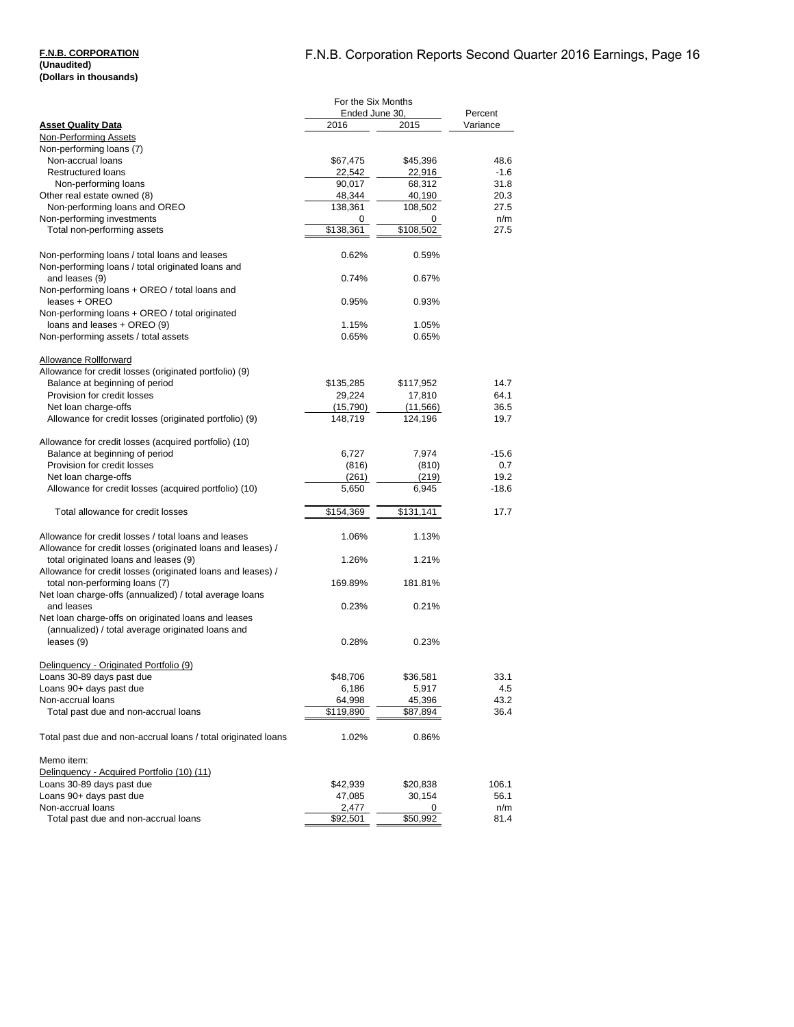|                                                                                                          | For the Six Months<br>Ended June 30. |           | Percent  |
|----------------------------------------------------------------------------------------------------------|--------------------------------------|-----------|----------|
| <b>Asset Quality Data</b>                                                                                | 2016                                 | 2015      | Variance |
| <b>Non-Performing Assets</b>                                                                             |                                      |           |          |
| Non-performing loans (7)                                                                                 |                                      |           |          |
| Non-accrual loans                                                                                        | \$67,475                             | \$45,396  | 48.6     |
| <b>Restructured loans</b>                                                                                | 22,542                               | 22,916    | $-1.6$   |
| Non-performing loans                                                                                     | 90,017                               | 68,312    | 31.8     |
| Other real estate owned (8)                                                                              | 48,344                               | 40,190    | 20.3     |
| Non-performing loans and OREO                                                                            | 138,361                              | 108,502   | 27.5     |
| Non-performing investments                                                                               | 0                                    | 0         | n/m      |
| Total non-performing assets                                                                              | \$138,361                            | \$108,502 | 27.5     |
| Non-performing loans / total loans and leases                                                            | 0.62%                                | 0.59%     |          |
| Non-performing loans / total originated loans and                                                        |                                      |           |          |
| and leases (9)                                                                                           | 0.74%                                | 0.67%     |          |
| Non-performing loans + OREO / total loans and                                                            |                                      |           |          |
| leases + OREO                                                                                            | 0.95%                                | 0.93%     |          |
| Non-performing loans + OREO / total originated                                                           |                                      |           |          |
| loans and leases + OREO (9)                                                                              | 1.15%                                | 1.05%     |          |
| Non-performing assets / total assets                                                                     | 0.65%                                | 0.65%     |          |
| <b>Allowance Rollforward</b>                                                                             |                                      |           |          |
| Allowance for credit losses (originated portfolio) (9)<br>Balance at beginning of period                 | \$135,285                            | \$117,952 | 14.7     |
| Provision for credit losses                                                                              | 29,224                               | 17,810    | 64.1     |
| Net loan charge-offs                                                                                     | (15,790)                             | (11, 566) | 36.5     |
| Allowance for credit losses (originated portfolio) (9)                                                   | 148,719                              | 124,196   | 19.7     |
|                                                                                                          |                                      |           |          |
| Allowance for credit losses (acquired portfolio) (10)                                                    |                                      |           |          |
| Balance at beginning of period                                                                           | 6,727                                | 7.974     | $-15.6$  |
| Provision for credit losses                                                                              | (816)                                | (810)     | 0.7      |
| Net loan charge-offs                                                                                     | (261)                                | (219)     | 19.2     |
| Allowance for credit losses (acquired portfolio) (10)                                                    | 5,650                                | 6,945     | $-18.6$  |
| Total allowance for credit losses                                                                        | \$154,369                            | \$131,141 | 17.7     |
| Allowance for credit losses / total loans and leases                                                     | 1.06%                                | 1.13%     |          |
| Allowance for credit losses (originated loans and leases) /                                              |                                      |           |          |
| total originated loans and leases (9)                                                                    | 1.26%                                | 1.21%     |          |
| Allowance for credit losses (originated loans and leases) /                                              |                                      |           |          |
| total non-performing loans (7)                                                                           | 169.89%                              | 181.81%   |          |
| Net loan charge-offs (annualized) / total average loans                                                  |                                      |           |          |
| and leases                                                                                               | 0.23%                                | 0.21%     |          |
| Net loan charge-offs on originated loans and leases<br>(annualized) / total average originated loans and |                                      |           |          |
| leases $(9)$                                                                                             | 0.28%                                | 0.23%     |          |
| Delinquency - Originated Portfolio (9)                                                                   |                                      |           |          |
| Loans 30-89 days past due                                                                                | \$48,706                             | \$36,581  | 33.1     |
| Loans 90+ days past due                                                                                  | 6,186                                | 5,917     | 4.5      |
| Non-accrual loans                                                                                        | 64,998                               | 45,396    | 43.2     |
| Total past due and non-accrual loans                                                                     | \$119,890                            | \$87.894  | 36.4     |
| Total past due and non-accrual loans / total originated loans                                            | 1.02%                                | 0.86%     |          |
| Memo item:                                                                                               |                                      |           |          |
| Delinquency - Acquired Portfolio (10) (11)                                                               |                                      |           |          |
| Loans 30-89 days past due                                                                                | \$42,939                             | \$20,838  | 106.1    |
| Loans 90+ days past due                                                                                  | 47,085                               | 30,154    | 56.1     |
| Non-accrual loans                                                                                        | 2,477                                | 0         | n/m      |
| Total past due and non-accrual loans                                                                     | \$92,501                             | \$50,992  | 81.4     |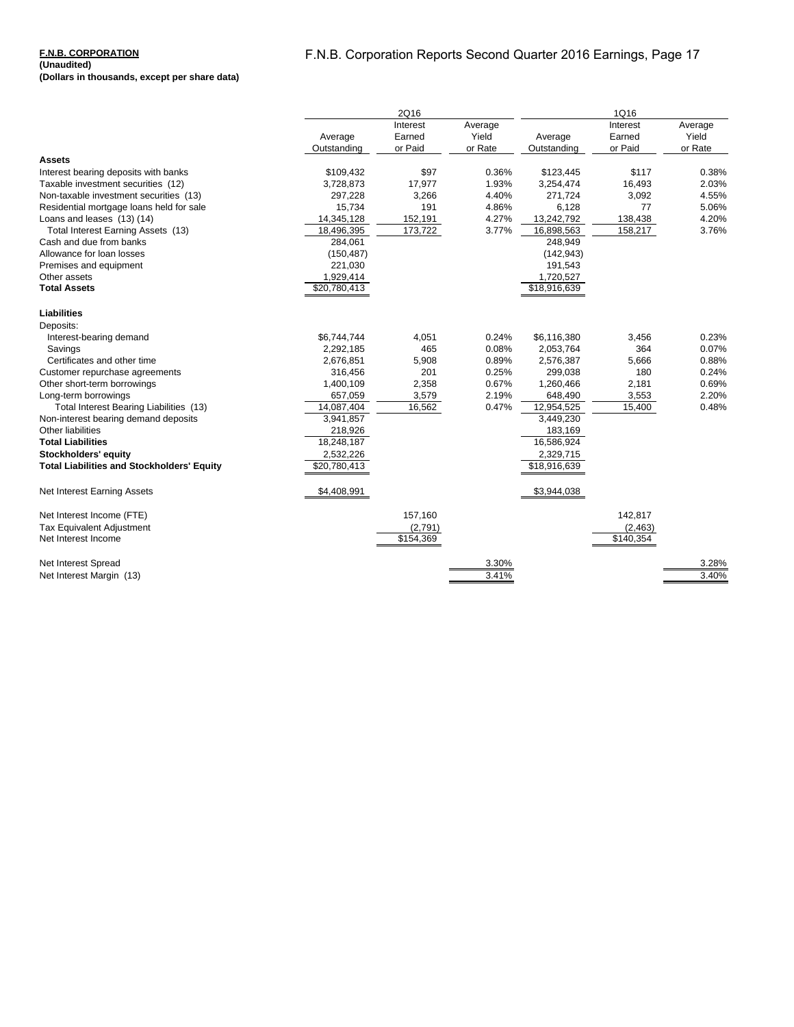|                                                   | 2Q16         |           |         | 1Q16         |           |         |
|---------------------------------------------------|--------------|-----------|---------|--------------|-----------|---------|
|                                                   |              | Interest  | Average |              | Interest  | Average |
|                                                   | Average      | Earned    | Yield   | Average      | Earned    | Yield   |
|                                                   | Outstanding  | or Paid   | or Rate | Outstanding  | or Paid   | or Rate |
| <b>Assets</b>                                     |              |           |         |              |           |         |
| Interest bearing deposits with banks              | \$109,432    | \$97      | 0.36%   | \$123,445    | \$117     | 0.38%   |
| Taxable investment securities (12)                | 3,728,873    | 17,977    | 1.93%   | 3,254,474    | 16,493    | 2.03%   |
| Non-taxable investment securities (13)            | 297,228      | 3,266     | 4.40%   | 271,724      | 3,092     | 4.55%   |
| Residential mortgage loans held for sale          | 15,734       | 191       | 4.86%   | 6,128        | 77        | 5.06%   |
| Loans and leases (13) (14)                        | 14,345,128   | 152,191   | 4.27%   | 13,242,792   | 138,438   | 4.20%   |
| Total Interest Earning Assets (13)                | 18,496,395   | 173,722   | 3.77%   | 16,898,563   | 158,217   | 3.76%   |
| Cash and due from banks                           | 284,061      |           |         | 248,949      |           |         |
| Allowance for loan losses                         | (150, 487)   |           |         | (142, 943)   |           |         |
| Premises and equipment                            | 221,030      |           |         | 191,543      |           |         |
| Other assets                                      | 1,929,414    |           |         | 1,720,527    |           |         |
| <b>Total Assets</b>                               | \$20,780,413 |           |         | \$18,916,639 |           |         |
|                                                   |              |           |         |              |           |         |
| <b>Liabilities</b>                                |              |           |         |              |           |         |
| Deposits:                                         |              |           |         |              |           |         |
| Interest-bearing demand                           | \$6,744,744  | 4,051     | 0.24%   | \$6,116,380  | 3,456     | 0.23%   |
| Savings                                           | 2,292,185    | 465       | 0.08%   | 2,053,764    | 364       | 0.07%   |
| Certificates and other time                       | 2,676,851    | 5,908     | 0.89%   | 2,576,387    | 5,666     | 0.88%   |
| Customer repurchase agreements                    | 316,456      | 201       | 0.25%   | 299,038      | 180       | 0.24%   |
| Other short-term borrowings                       | 1,400,109    | 2,358     | 0.67%   | 1,260,466    | 2,181     | 0.69%   |
| Long-term borrowings                              | 657,059      | 3,579     | 2.19%   | 648,490      | 3,553     | 2.20%   |
| Total Interest Bearing Liabilities (13)           | 14,087,404   | 16,562    | 0.47%   | 12,954,525   | 15,400    | 0.48%   |
| Non-interest bearing demand deposits              | 3,941,857    |           |         | 3,449,230    |           |         |
| Other liabilities                                 | 218,926      |           |         | 183,169      |           |         |
| <b>Total Liabilities</b>                          | 18,248,187   |           |         | 16,586,924   |           |         |
| Stockholders' equity                              | 2,532,226    |           |         | 2,329,715    |           |         |
| <b>Total Liabilities and Stockholders' Equity</b> | \$20,780,413 |           |         | \$18,916,639 |           |         |
|                                                   |              |           |         |              |           |         |
| Net Interest Earning Assets                       | \$4,408,991  |           |         | \$3,944,038  |           |         |
| Net Interest Income (FTE)                         |              | 157,160   |         |              | 142,817   |         |
| <b>Tax Equivalent Adjustment</b>                  |              | (2,791)   |         |              | (2, 463)  |         |
| Net Interest Income                               |              | \$154,369 |         |              | \$140,354 |         |
| Net Interest Spread                               |              |           | 3.30%   |              |           | 3.28%   |
| Net Interest Margin (13)                          |              |           | 3.41%   |              |           | 3.40%   |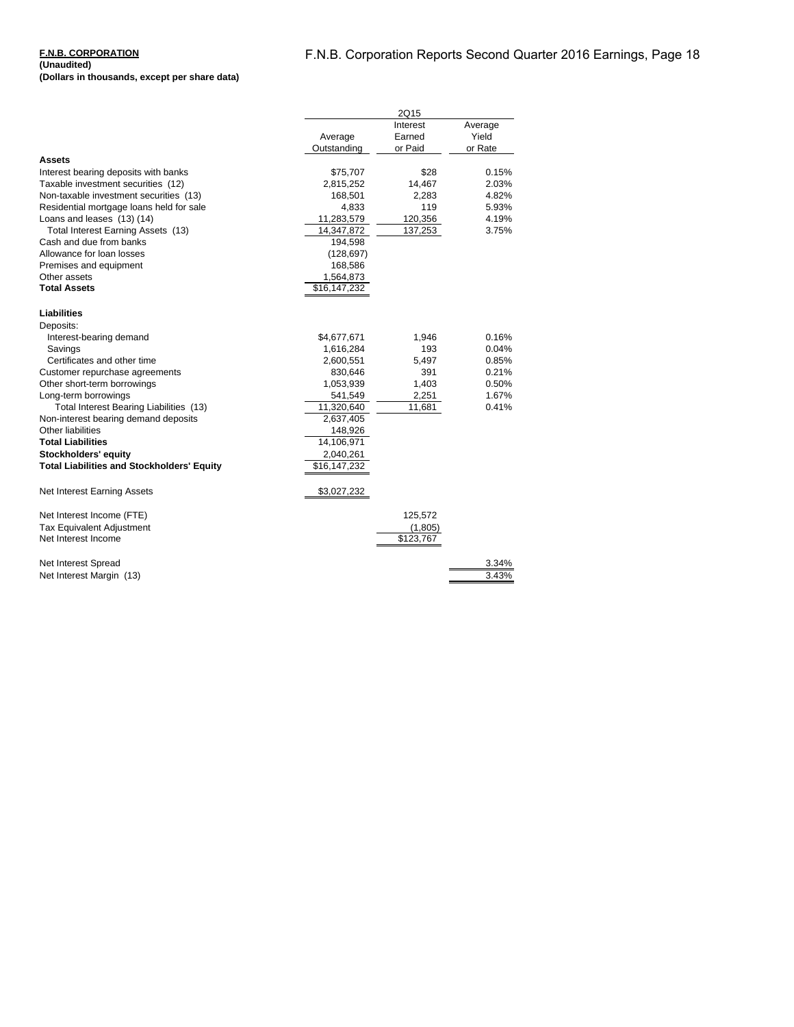|                                                   | 2Q15         |           |         |  |
|---------------------------------------------------|--------------|-----------|---------|--|
|                                                   |              | Interest  | Average |  |
|                                                   | Average      | Earned    | Yield   |  |
|                                                   | Outstanding  | or Paid   | or Rate |  |
| <b>Assets</b>                                     |              |           |         |  |
| Interest bearing deposits with banks              | \$75,707     | \$28      | 0.15%   |  |
| Taxable investment securities (12)                | 2,815,252    | 14,467    | 2.03%   |  |
| Non-taxable investment securities (13)            | 168,501      | 2.283     | 4.82%   |  |
| Residential mortgage loans held for sale          | 4,833        | 119       | 5.93%   |  |
| Loans and leases (13) (14)                        | 11,283,579   | 120,356   | 4.19%   |  |
| Total Interest Earning Assets (13)                | 14,347,872   | 137,253   | 3.75%   |  |
| Cash and due from banks                           | 194,598      |           |         |  |
| Allowance for loan losses                         | (128, 697)   |           |         |  |
| Premises and equipment                            | 168,586      |           |         |  |
| Other assets                                      | 1,564,873    |           |         |  |
| <b>Total Assets</b>                               | \$16,147,232 |           |         |  |
| <b>Liabilities</b>                                |              |           |         |  |
| Deposits:                                         |              |           |         |  |
| Interest-bearing demand                           | \$4,677,671  | 1,946     | 0.16%   |  |
| Savings                                           | 1,616,284    | 193       | 0.04%   |  |
| Certificates and other time                       | 2,600,551    | 5,497     | 0.85%   |  |
| Customer repurchase agreements                    | 830,646      | 391       | 0.21%   |  |
| Other short-term borrowings                       | 1,053,939    | 1,403     | 0.50%   |  |
| Long-term borrowings                              | 541,549      | 2,251     | 1.67%   |  |
| Total Interest Bearing Liabilities (13)           | 11,320,640   | 11,681    | 0.41%   |  |
| Non-interest bearing demand deposits              | 2,637,405    |           |         |  |
| Other liabilities                                 | 148,926      |           |         |  |
| <b>Total Liabilities</b>                          | 14,106,971   |           |         |  |
| Stockholders' equity                              | 2,040,261    |           |         |  |
| <b>Total Liabilities and Stockholders' Equity</b> | \$16,147,232 |           |         |  |
|                                                   |              |           |         |  |
| Net Interest Earning Assets                       | \$3,027,232  |           |         |  |
| Net Interest Income (FTE)                         |              | 125,572   |         |  |
| <b>Tax Equivalent Adjustment</b>                  |              | (1,805)   |         |  |
| Net Interest Income                               |              | \$123,767 |         |  |
| Net Interest Spread                               |              |           | 3.34%   |  |
| Net Interest Margin (13)                          |              |           | 3.43%   |  |
|                                                   |              |           |         |  |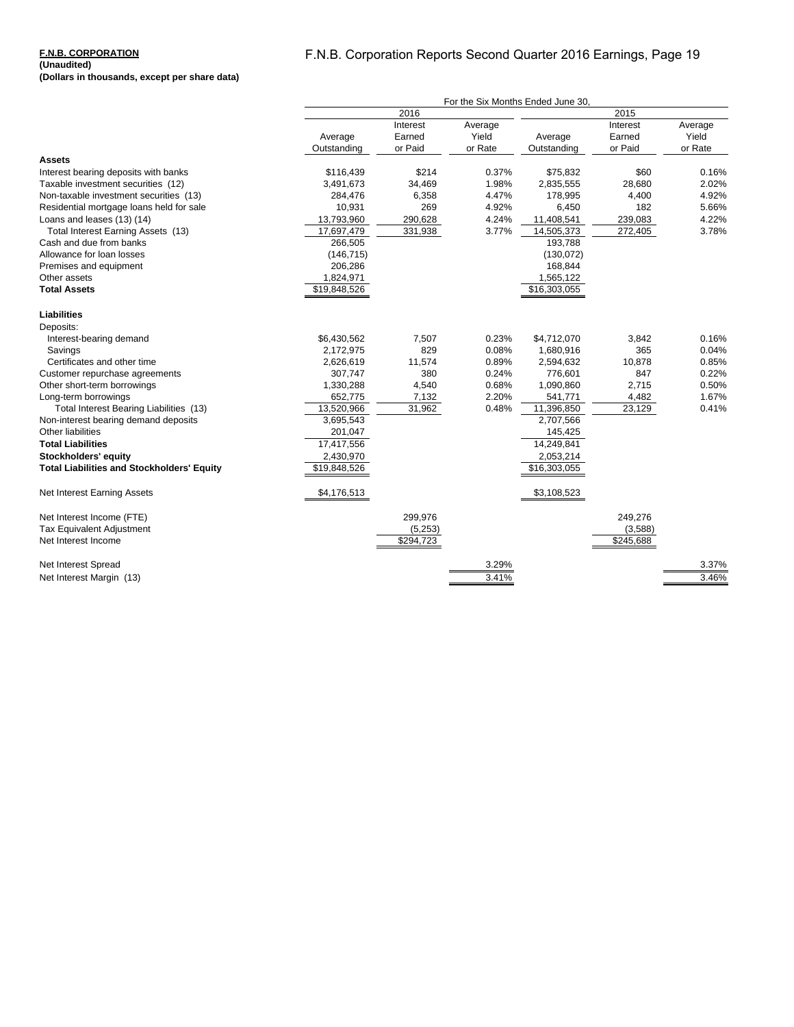|                                                   | For the Six Months Ended June 30, |           |         |              |           |         |
|---------------------------------------------------|-----------------------------------|-----------|---------|--------------|-----------|---------|
|                                                   |                                   | 2016      |         |              | 2015      |         |
|                                                   |                                   | Interest  | Average |              | Interest  | Average |
|                                                   | Average                           | Earned    | Yield   | Average      | Earned    | Yield   |
|                                                   | Outstanding                       | or Paid   | or Rate | Outstanding  | or Paid   | or Rate |
| <b>Assets</b>                                     |                                   |           |         |              |           |         |
| Interest bearing deposits with banks              | \$116,439                         | \$214     | 0.37%   | \$75,832     | \$60      | 0.16%   |
| Taxable investment securities (12)                | 3,491,673                         | 34,469    | 1.98%   | 2,835,555    | 28,680    | 2.02%   |
| Non-taxable investment securities (13)            | 284,476                           | 6,358     | 4.47%   | 178,995      | 4,400     | 4.92%   |
| Residential mortgage loans held for sale          | 10,931                            | 269       | 4.92%   | 6,450        | 182       | 5.66%   |
| Loans and leases (13) (14)                        | 13,793,960                        | 290,628   | 4.24%   | 11,408,541   | 239,083   | 4.22%   |
| Total Interest Earning Assets (13)                | 17,697,479                        | 331,938   | 3.77%   | 14,505,373   | 272,405   | 3.78%   |
| Cash and due from banks                           | 266,505                           |           |         | 193,788      |           |         |
| Allowance for loan losses                         | (146, 715)                        |           |         | (130, 072)   |           |         |
| Premises and equipment                            | 206,286                           |           |         | 168,844      |           |         |
| Other assets                                      | 1,824,971                         |           |         | 1,565,122    |           |         |
| <b>Total Assets</b>                               | \$19,848,526                      |           |         | \$16,303,055 |           |         |
| <b>Liabilities</b>                                |                                   |           |         |              |           |         |
| Deposits:                                         |                                   |           |         |              |           |         |
| Interest-bearing demand                           | \$6,430,562                       | 7,507     | 0.23%   | \$4,712,070  | 3,842     | 0.16%   |
| Savings                                           | 2,172,975                         | 829       | 0.08%   | 1,680,916    | 365       | 0.04%   |
| Certificates and other time                       | 2,626,619                         | 11,574    | 0.89%   | 2,594,632    | 10,878    | 0.85%   |
| Customer repurchase agreements                    | 307,747                           | 380       | 0.24%   | 776,601      | 847       | 0.22%   |
| Other short-term borrowings                       | 1,330,288                         | 4,540     | 0.68%   | 1,090,860    | 2,715     | 0.50%   |
| Long-term borrowings                              | 652,775                           | 7,132     | 2.20%   | 541,771      | 4,482     | 1.67%   |
| Total Interest Bearing Liabilities (13)           | 13,520,966                        | 31,962    | 0.48%   | 11,396,850   | 23,129    | 0.41%   |
| Non-interest bearing demand deposits              | 3,695,543                         |           |         | 2,707,566    |           |         |
| Other liabilities                                 | 201,047                           |           |         | 145,425      |           |         |
| <b>Total Liabilities</b>                          | 17,417,556                        |           |         | 14,249,841   |           |         |
| Stockholders' equity                              | 2,430,970                         |           |         | 2,053,214    |           |         |
| <b>Total Liabilities and Stockholders' Equity</b> | \$19,848,526                      |           |         | \$16,303,055 |           |         |
| Net Interest Earning Assets                       | \$4,176,513                       |           |         | \$3,108,523  |           |         |
| Net Interest Income (FTE)                         |                                   | 299,976   |         |              | 249,276   |         |
| <b>Tax Equivalent Adjustment</b>                  |                                   | (5, 253)  |         |              | (3,588)   |         |
| Net Interest Income                               |                                   | \$294,723 |         |              | \$245,688 |         |
| Net Interest Spread                               |                                   |           | 3.29%   |              |           | 3.37%   |
| Net Interest Margin (13)                          |                                   |           | 3.41%   |              |           | 3.46%   |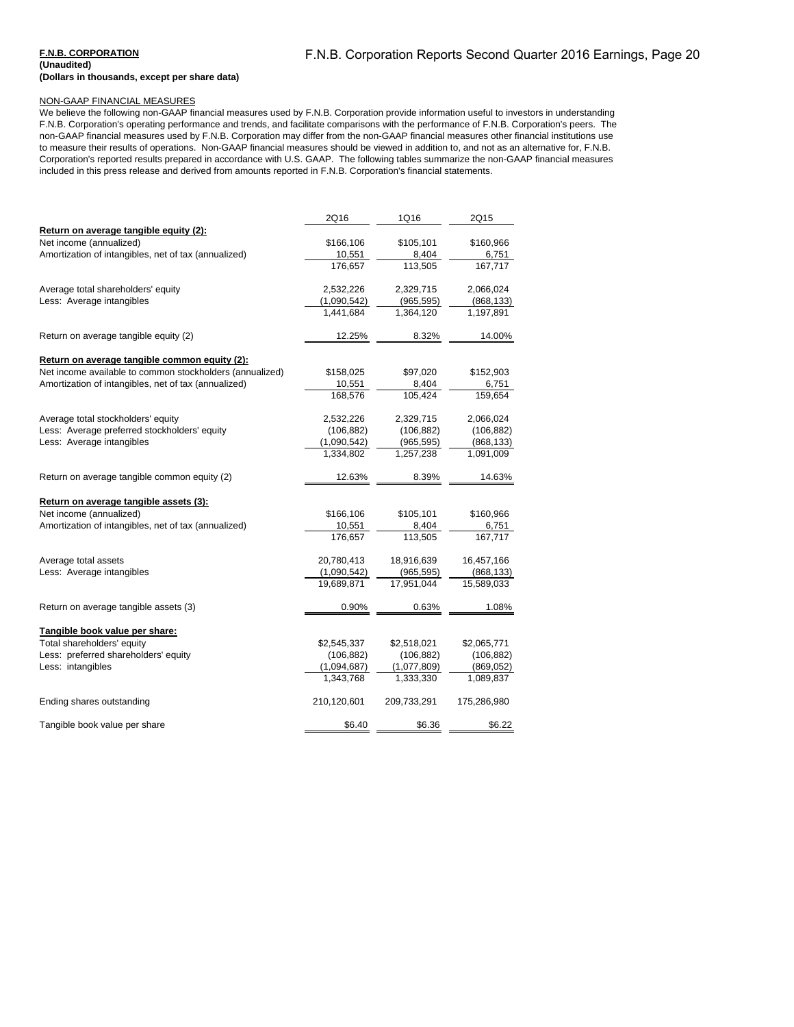### **F.N.B. CORPORATION (Unaudited) (Dollars in thousands, except per share data)**

## NON-GAAP FINANCIAL MEASURES

We believe the following non-GAAP financial measures used by F.N.B. Corporation provide information useful to investors in understanding F.N.B. Corporation's operating performance and trends, and facilitate comparisons with the performance of F.N.B. Corporation's peers. The non-GAAP financial measures used by F.N.B. Corporation may differ from the non-GAAP financial measures other financial institutions use to measure their results of operations. Non-GAAP financial measures should be viewed in addition to, and not as an alternative for, F.N.B. Corporation's reported results prepared in accordance with U.S. GAAP. The following tables summarize the non-GAAP financial measures included in this press release and derived from amounts reported in F.N.B. Corporation's financial statements.

|                                                          | 2Q16        | 1Q16        | 2Q15        |
|----------------------------------------------------------|-------------|-------------|-------------|
| Return on average tangible equity (2):                   |             |             |             |
| Net income (annualized)                                  | \$166,106   | \$105,101   | \$160,966   |
| Amortization of intangibles, net of tax (annualized)     | 10,551      | 8,404       | 6,751       |
|                                                          | 176,657     | 113,505     | 167,717     |
| Average total shareholders' equity                       | 2,532,226   | 2,329,715   | 2,066,024   |
| Less: Average intangibles                                | (1,090,542) | (965, 595)  | (868, 133)  |
|                                                          | 1,441,684   | 1,364,120   | 1,197,891   |
| Return on average tangible equity (2)                    | 12.25%      | 8.32%       | 14.00%      |
| Return on average tangible common equity (2):            |             |             |             |
| Net income available to common stockholders (annualized) | \$158,025   | \$97,020    | \$152,903   |
| Amortization of intangibles, net of tax (annualized)     | 10,551      | 8,404       | 6,751       |
|                                                          | 168,576     | 105,424     | 159,654     |
| Average total stockholders' equity                       | 2,532,226   | 2,329,715   | 2,066,024   |
| Less: Average preferred stockholders' equity             | (106, 882)  | (106, 882)  | (106, 882)  |
| Less: Average intangibles                                | (1,090,542) | (965, 595)  | (868, 133)  |
|                                                          | 1,334,802   | 1,257,238   | 1,091,009   |
| Return on average tangible common equity (2)             | 12.63%      | 8.39%       | 14.63%      |
| Return on average tangible assets (3):                   |             |             |             |
| Net income (annualized)                                  | \$166,106   | \$105,101   | \$160,966   |
| Amortization of intangibles, net of tax (annualized)     | 10,551      | 8,404       | 6,751       |
|                                                          | 176,657     | 113,505     | 167,717     |
| Average total assets                                     | 20,780,413  | 18,916,639  | 16,457,166  |
| Less: Average intangibles                                | (1,090,542) | (965, 595)  | (868,133)   |
|                                                          | 19,689,871  | 17,951,044  | 15,589,033  |
| Return on average tangible assets (3)                    | 0.90%       | 0.63%       | 1.08%       |
| Tangible book value per share:                           |             |             |             |
| Total shareholders' equity                               | \$2,545,337 | \$2,518,021 | \$2,065,771 |
| Less: preferred shareholders' equity                     | (106, 882)  | (106, 882)  | (106, 882)  |
| Less: intangibles                                        | (1,094,687) | (1,077,809) | (869,052)   |
|                                                          | 1,343,768   | 1,333,330   | 1,089,837   |
| Ending shares outstanding                                | 210,120,601 | 209,733,291 | 175,286,980 |
| Tangible book value per share                            | \$6.40      | \$6.36      | \$6.22      |
|                                                          |             |             |             |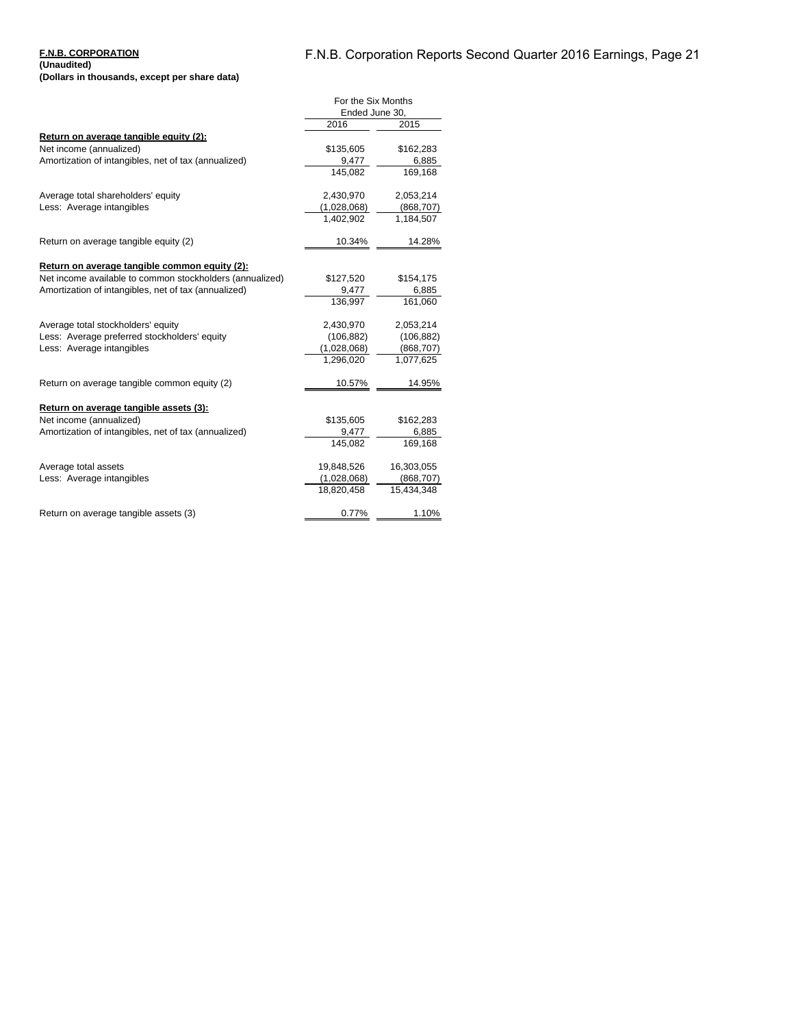|                                                          | For the Six Months |            |
|----------------------------------------------------------|--------------------|------------|
|                                                          | Ended June 30,     |            |
|                                                          | 2016               | 2015       |
| Return on average tangible equity (2):                   |                    |            |
| Net income (annualized)                                  | \$135,605          | \$162,283  |
| Amortization of intangibles, net of tax (annualized)     | 9,477              | 6,885      |
|                                                          | 145,082            | 169,168    |
| Average total shareholders' equity                       | 2,430,970          | 2,053,214  |
| Less: Average intangibles                                | (1,028,068)        | (868, 707) |
|                                                          | 1,402,902          | 1,184,507  |
| Return on average tangible equity (2)                    | 10.34%             | 14.28%     |
| Return on average tangible common equity (2):            |                    |            |
| Net income available to common stockholders (annualized) | \$127,520          | \$154,175  |
| Amortization of intangibles, net of tax (annualized)     | 9,477              | 6,885      |
|                                                          | 136,997            | 161,060    |
| Average total stockholders' equity                       | 2,430,970          | 2,053,214  |
| Less: Average preferred stockholders' equity             | (106, 882)         | (106, 882) |
| Less: Average intangibles                                | (1,028,068)        | (868, 707) |
|                                                          | 1.296.020          | 1,077,625  |
| Return on average tangible common equity (2)             | 10.57%             | 14.95%     |
| Return on average tangible assets (3):                   |                    |            |
| Net income (annualized)                                  | \$135,605          | \$162,283  |
| Amortization of intangibles, net of tax (annualized)     | 9,477              | 6,885      |
|                                                          | 145,082            | 169,168    |
| Average total assets                                     | 19,848,526         | 16,303,055 |
| Less: Average intangibles                                | (1,028,068)        | (868, 707) |
|                                                          | 18,820,458         | 15,434,348 |
| Return on average tangible assets (3)                    | 0.77%              | 1.10%      |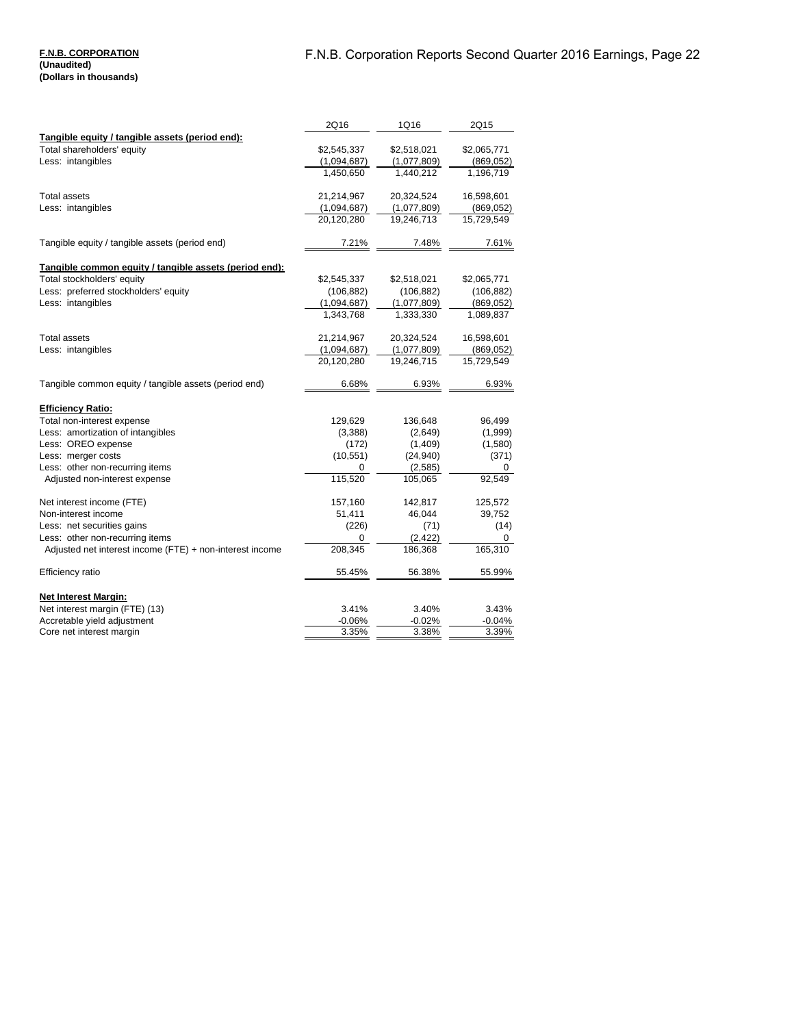|                                                          | 2Q16        | 1Q16        | 2Q15        |
|----------------------------------------------------------|-------------|-------------|-------------|
| Tangible equity / tangible assets (period end):          |             |             |             |
| Total shareholders' equity                               | \$2,545,337 | \$2,518,021 | \$2,065,771 |
| Less: intangibles                                        | (1,094,687) | (1,077,809) | (869, 052)  |
|                                                          | 1,450,650   | 1,440,212   | 1,196,719   |
| <b>Total assets</b>                                      | 21,214,967  | 20,324,524  | 16,598,601  |
| Less: intangibles                                        | (1,094,687) | (1,077,809) | (869, 052)  |
|                                                          | 20,120,280  | 19,246,713  | 15,729,549  |
| Tangible equity / tangible assets (period end)           | 7.21%       | 7.48%       | 7.61%       |
| Tangible common equity / tangible assets (period end):   |             |             |             |
| Total stockholders' equity                               | \$2,545,337 | \$2,518,021 | \$2,065,771 |
| Less: preferred stockholders' equity                     | (106, 882)  | (106, 882)  | (106, 882)  |
| Less: intangibles                                        | (1,094,687) | (1,077,809) | (869, 052)  |
|                                                          | 1,343,768   | 1,333,330   | 1,089,837   |
| <b>Total assets</b>                                      | 21,214,967  | 20,324,524  | 16,598,601  |
| Less: intangibles                                        | (1,094,687) | (1,077,809) | (869,052)   |
|                                                          | 20,120,280  | 19,246,715  | 15,729,549  |
| Tangible common equity / tangible assets (period end)    | 6.68%       | 6.93%       | 6.93%       |
| <b>Efficiency Ratio:</b>                                 |             |             |             |
| Total non-interest expense                               | 129,629     | 136,648     | 96,499      |
| Less: amortization of intangibles                        | (3,388)     | (2,649)     | (1,999)     |
| Less: OREO expense                                       | (172)       | (1,409)     | (1,580)     |
| Less: merger costs                                       | (10, 551)   | (24, 940)   | (371)       |
| Less: other non-recurring items                          | $\Omega$    | (2,585)     | 0           |
| Adjusted non-interest expense                            | 115,520     | 105,065     | 92,549      |
| Net interest income (FTE)                                | 157,160     | 142,817     | 125,572     |
| Non-interest income                                      | 51,411      | 46,044      | 39,752      |
| Less: net securities gains                               | (226)       | (71)        | (14)        |
| Less: other non-recurring items                          | $\mathbf 0$ | (2, 422)    | 0           |
| Adjusted net interest income (FTE) + non-interest income | 208,345     | 186,368     | 165,310     |
| Efficiency ratio                                         | 55.45%      | 56.38%      | 55.99%      |
| <b>Net Interest Margin:</b>                              |             |             |             |
| Net interest margin (FTE) (13)                           | 3.41%       | 3.40%       | 3.43%       |
| Accretable yield adjustment                              | $-0.06%$    | $-0.02%$    | $-0.04%$    |
| Core net interest margin                                 | 3.35%       | 3.38%       | 3.39%       |
|                                                          |             |             |             |